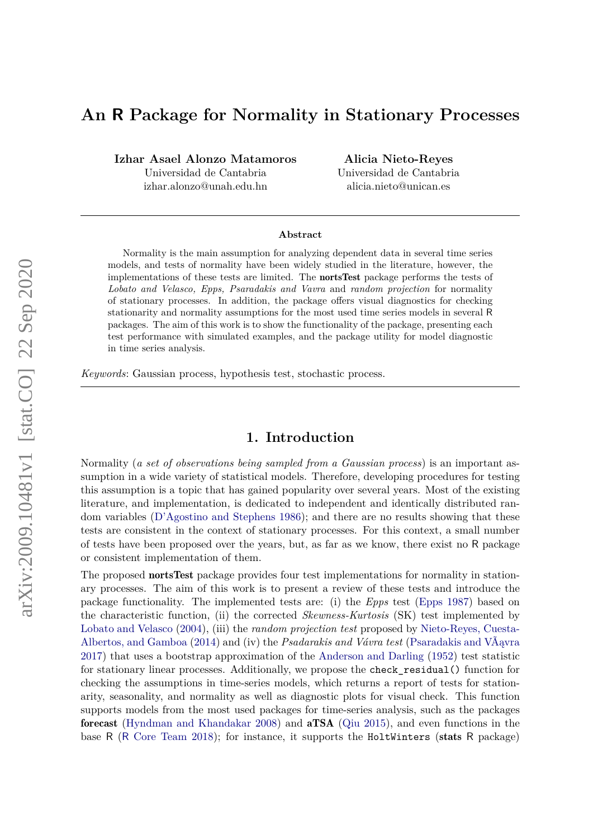# **An R Package for Normality in Stationary Processes**

**Izhar Asael Alonzo Matamoros**

Universidad de Cantabria izhar.alonzo@unah.edu.hn

**Alicia Nieto-Reyes** Universidad de Cantabria alicia.nieto@unican.es

#### **Abstract**

Normality is the main assumption for analyzing dependent data in several time series models, and tests of normality have been widely studied in the literature, however, the implementations of these tests are limited. The nortsTest package performs the tests of *Lobato and Velasco, Epps, Psaradakis and Vavra* and *random projection* for normality of stationary processes. In addition, the package offers visual diagnostics for checking stationarity and normality assumptions for the most used time series models in several R packages. The aim of this work is to show the functionality of the package, presenting each test performance with simulated examples, and the package utility for model diagnostic in time series analysis.

*Keywords*: Gaussian process, hypothesis test, stochastic process.

## **1. Introduction**

Normality (*a set of observations being sampled from a Gaussian process*) is an important assumption in a wide variety of statistical models. Therefore, developing procedures for testing this assumption is a topic that has gained popularity over several years. Most of the existing literature, and implementation, is dedicated to independent and identically distributed random variables [\(D'Agostino and Stephens](#page-20-0) [1986\)](#page-20-0); and there are no results showing that these tests are consistent in the context of stationary processes. For this context, a small number of tests have been proposed over the years, but, as far as we know, there exist no R package or consistent implementation of them.

The proposed nortsTest package provides four test implementations for normality in stationary processes. The aim of this work is to present a review of these tests and introduce the package functionality. The implemented tests are: (i) the *Epps* test [\(Epps](#page-20-1) [1987\)](#page-20-1) based on the characteristic function, (ii) the corrected *Skewness-Kurtosis* (SK) test implemented by [Lobato and Velasco](#page-21-0) [\(2004\)](#page-21-0), (iii) the *random projection test* proposed by [Nieto-Reyes, Cuesta-](#page-21-1)[Albertos, and Gamboa](#page-21-1) [\(2014\)](#page-21-1) and (iv) the *Psadarakis and Vávra test* [\(Psaradakis and VÃąvra](#page-22-0) [2017\)](#page-22-0) that uses a bootstrap approximation of the [Anderson and Darling](#page-19-0) [\(1952\)](#page-19-0) test statistic for stationary linear processes. Additionally, we propose the check\_residual() function for checking the assumptions in time-series models, which returns a report of tests for stationarity, seasonality, and normality as well as diagnostic plots for visual check. This function supports models from the most used packages for time-series analysis, such as the packages forecast [\(Hyndman and Khandakar](#page-20-2) [2008\)](#page-20-2) and aTSA [\(Qiu](#page-22-1) [2015\)](#page-22-1), and even functions in the base R (R [Core Team](#page-21-2) [2018\)](#page-21-2); for instance, it supports the HoltWinters (stats R package)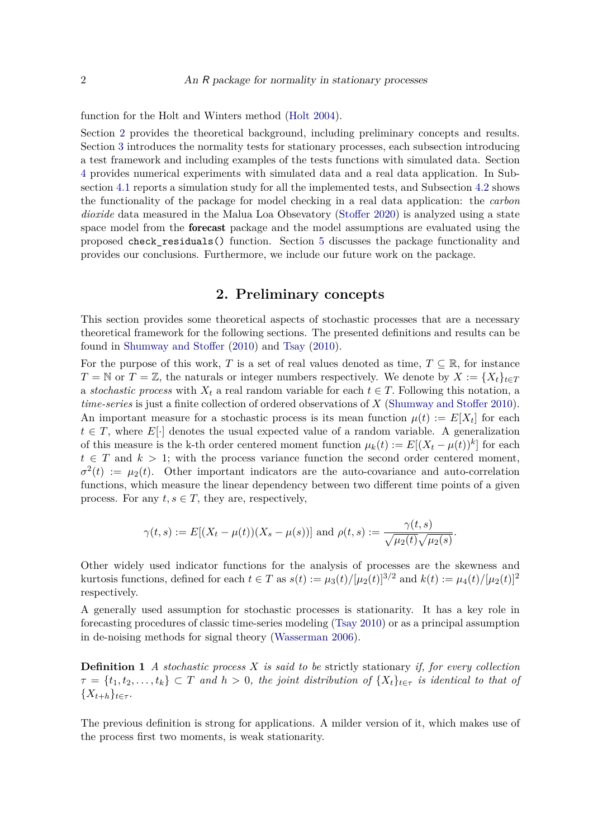function for the Holt and Winters method [\(Holt](#page-20-3) [2004\)](#page-20-3).

Section [2](#page-1-0) provides the theoretical background, including preliminary concepts and results. Section [3](#page-4-0) introduces the normality tests for stationary processes, each subsection introducing a test framework and including examples of the tests functions with simulated data. Section [4](#page-13-0) provides numerical experiments with simulated data and a real data application. In Subsection [4.1](#page-13-1) reports a simulation study for all the implemented tests, and Subsection [4.2](#page-13-2) shows the functionality of the package for model checking in a real data application: the *carbon dioxide* data measured in the Malua Loa Obsevatory [\(Stoffer](#page-22-2) [2020\)](#page-22-2) is analyzed using a state space model from the **forecast** package and the model assumptions are evaluated using the proposed check\_residuals() function. Section [5](#page-18-0) discusses the package functionality and provides our conclusions. Furthermore, we include our future work on the package.

## **2. Preliminary concepts**

<span id="page-1-0"></span>This section provides some theoretical aspects of stochastic processes that are a necessary theoretical framework for the following sections. The presented definitions and results can be found in [Shumway and Stoffer](#page-22-3) [\(2010\)](#page-22-3) and [Tsay](#page-22-4) [\(2010\)](#page-22-4).

For the purpose of this work, *T* is a set of real values denoted as time,  $T \subseteq \mathbb{R}$ , for instance  $T = \mathbb{N}$  or  $T = \mathbb{Z}$ , the naturals or integer numbers respectively. We denote by  $X := \{X_t\}_{t \in T}$ a *stochastic process* with  $X_t$  a real random variable for each  $t \in T$ . Following this notation, a *time-series* is just a finite collection of ordered observations of *X* [\(Shumway and Stoffer](#page-22-3) [2010\)](#page-22-3). An important measure for a stochastic process is its mean function  $\mu(t) := E[X_t]$  for each  $t \in T$ , where  $E[\cdot]$  denotes the usual expected value of a random variable. A generalization of this measure is the k-th order centered moment function  $\mu_k(t) := E[(X_t - \mu(t))^k]$  for each  $t \in T$  and  $k > 1$ ; with the process variance function the second order centered moment,  $\sigma^2(t) := \mu_2(t)$ . Other important indicators are the auto-covariance and auto-correlation functions, which measure the linear dependency between two different time points of a given process. For any  $t, s \in T$ , they are, respectively,

$$
\gamma(t,s) := E[(X_t - \mu(t))(X_s - \mu(s))]
$$
 and  $\rho(t,s) := \frac{\gamma(t,s)}{\sqrt{\mu_2(t)}\sqrt{\mu_2(s)}}.$ 

Other widely used indicator functions for the analysis of processes are the skewness and kurtosis functions, defined for each  $t \in T$  as  $s(t) := \mu_3(t) / [\mu_2(t)]^{3/2}$  and  $k(t) := \mu_4(t) / [\mu_2(t)]^2$ respectively.

A generally used assumption for stochastic processes is stationarity. It has a key role in forecasting procedures of classic time-series modeling [\(Tsay](#page-22-4) [2010\)](#page-22-4) or as a principal assumption in de-noising methods for signal theory [\(Wasserman](#page-22-5) [2006\)](#page-22-5).

**Definition 1** *A stochastic process X is said to be* strictly stationary *if, for every collection*  $\tau = \{t_1, t_2, \ldots, t_k\} \subset T$  *and*  $h > 0$ *, the joint distribution of*  $\{X_t\}_{t \in \tau}$  *is identical to that of*  ${X_{t+h}}_{t\in\tau}$ .

The previous definition is strong for applications. A milder version of it, which makes use of the process first two moments, is weak stationarity.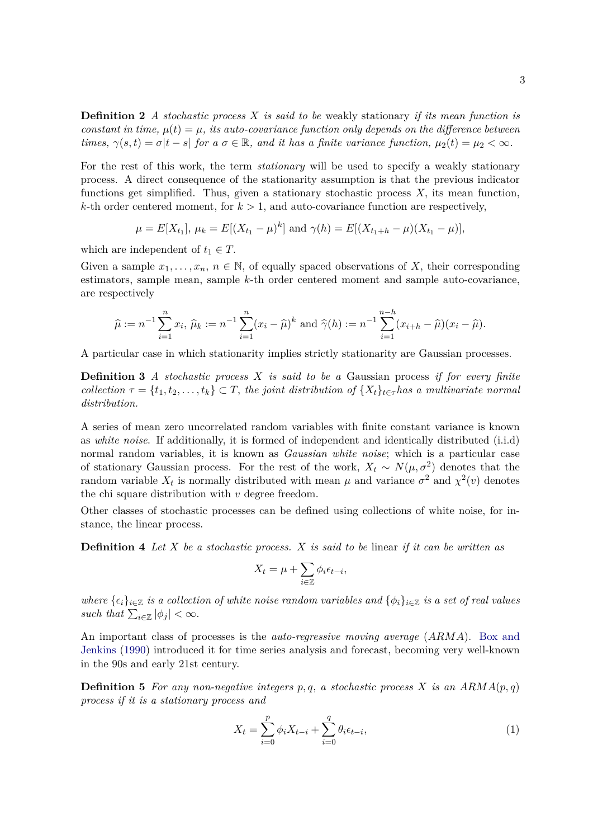**Definition 2** *A stochastic process X is said to be* weakly stationary *if its mean function is constant in time,*  $\mu(t) = \mu$ *, its auto-covariance function only depends on the difference between times,*  $\gamma(s,t) = \sigma|t-s|$  *for a*  $\sigma \in \mathbb{R}$ *, and it has a finite variance function,*  $\mu_2(t) = \mu_2 < \infty$ *.* 

For the rest of this work, the term *stationary* will be used to specify a weakly stationary process. A direct consequence of the stationarity assumption is that the previous indicator functions get simplified. Thus, given a stationary stochastic process  $X$ , its mean function,  $k$ -th order centered moment, for  $k > 1$ , and auto-covariance function are respectively,

$$
\mu = E[X_{t_1}], \mu_k = E[(X_{t_1} - \mu)^k]
$$
 and  $\gamma(h) = E[(X_{t_1+h} - \mu)(X_{t_1} - \mu)],$ 

which are independent of  $t_1 \in T$ .

Given a sample  $x_1, \ldots, x_n, n \in \mathbb{N}$ , of equally spaced observations of *X*, their corresponding estimators, sample mean, sample *k*-th order centered moment and sample auto-covariance, are respectively

$$
\widehat{\mu} := n^{-1} \sum_{i=1}^{n} x_i, \, \widehat{\mu}_k := n^{-1} \sum_{i=1}^{n} (x_i - \widehat{\mu})^k \text{ and } \widehat{\gamma}(h) := n^{-1} \sum_{i=1}^{n-h} (x_{i+h} - \widehat{\mu})(x_i - \widehat{\mu}).
$$

A particular case in which stationarity implies strictly stationarity are Gaussian processes.

**Definition 3** *A stochastic process X is said to be a* Gaussian process *if for every finite collection*  $\tau = \{t_1, t_2, \ldots, t_k\} \subset T$ , the joint distribution of  $\{X_t\}_{t \in \tau}$  has a multivariate normal *distribution.*

A series of mean zero uncorrelated random variables with finite constant variance is known as *white noise*. If additionally, it is formed of independent and identically distributed (i.i.d) normal random variables, it is known as *Gaussian white noise*; which is a particular case of stationary Gaussian process. For the rest of the work,  $X_t \sim N(\mu, \sigma^2)$  denotes that the random variable  $X_t$  is normally distributed with mean  $\mu$  and variance  $\sigma^2$  and  $\chi^2(v)$  denotes the chi square distribution with *v* degree freedom.

Other classes of stochastic processes can be defined using collections of white noise, for instance, the linear process.

**Definition 4** *Let X be a stochastic process. X is said to be* linear *if it can be written as*

$$
X_t = \mu + \sum_{i \in \mathbb{Z}} \phi_i \epsilon_{t-i},
$$

*where*  $\{\epsilon_i\}_{i\in\mathbb{Z}}$  *is a collection of white noise random variables and*  $\{\phi_i\}_{i\in\mathbb{Z}}$  *is a set of real values such that*  $\sum_{i \in \mathbb{Z}} |\phi_j| < \infty$ .

An important class of processes is the *auto-regressive moving average* (*ARMA*). [Box and](#page-20-4) [Jenkins](#page-20-4) [\(1990\)](#page-20-4) introduced it for time series analysis and forecast, becoming very well-known in the 90s and early 21st century.

**Definition 5** For any non-negative integers  $p, q, a$  stochastic process  $X$  is an  $ARMA(p, q)$ *process if it is a stationary process and*

<span id="page-2-0"></span>
$$
X_t = \sum_{i=0}^p \phi_i X_{t-i} + \sum_{i=0}^q \theta_i \epsilon_{t-i},
$$
\n(1)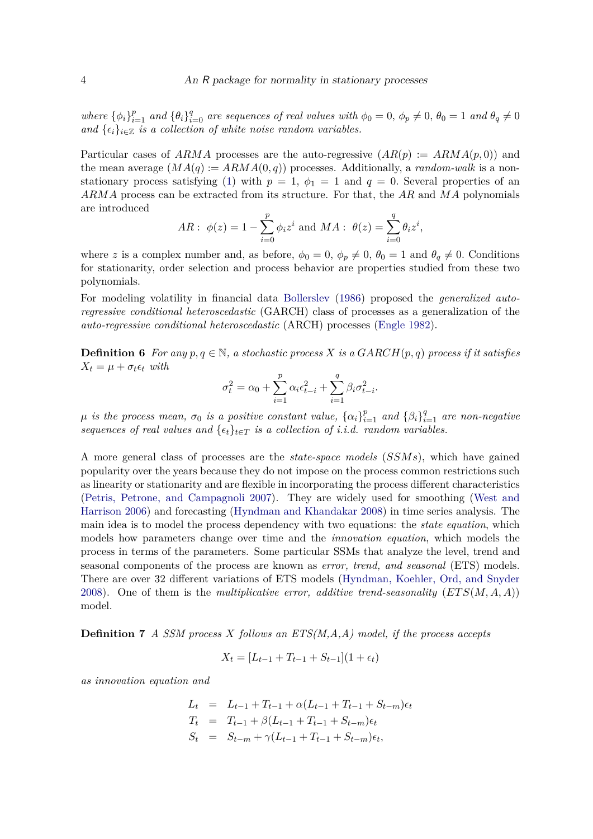where  $\{\phi_i\}_{i=1}^p$  and  $\{\theta_i\}_{i=0}^q$  are sequences of real values with  $\phi_0 = 0$ ,  $\phi_p \neq 0$ ,  $\theta_0 = 1$  and  $\theta_q \neq 0$ *and*  $\{\epsilon_i\}_{i\in\mathbb{Z}}$  *is a collection of white noise random variables.* 

Particular cases of *ARMA* processes are the auto-regressive  $(AR(p) := ARMA(p, 0))$  and the mean average  $(MA(q)) = ARMA(0, q)$  processes. Additionally, a *random-walk* is a non-stationary process satisfying [\(1\)](#page-2-0) with  $p = 1$ ,  $\phi_1 = 1$  and  $q = 0$ . Several properties of an *ARMA* process can be extracted from its structure. For that, the *AR* and *MA* polynomials are introduced

$$
AR: \ \phi(z) = 1 - \sum_{i=0}^{p} \phi_i z^i \text{ and } MA: \ \theta(z) = \sum_{i=0}^{q} \theta_i z^i,
$$

where *z* is a complex number and, as before,  $\phi_0 = 0$ ,  $\phi_p \neq 0$ ,  $\theta_0 = 1$  and  $\theta_q \neq 0$ . Conditions for stationarity, order selection and process behavior are properties studied from these two polynomials.

For modeling volatility in financial data [Bollerslev](#page-19-1) [\(1986\)](#page-19-1) proposed the *generalized autoregressive conditional heteroscedastic* (GARCH) class of processes as a generalization of the *auto-regressive conditional heteroscedastic* (ARCH) processes [\(Engle](#page-20-5) [1982\)](#page-20-5).

**Definition 6** For any  $p, q \in \mathbb{N}$ , a stochastic process X is a  $GARCH(p, q)$  process if it satisfies  $X_t = \mu + \sigma_t \epsilon_t$  *with* 

$$
\sigma_t^2 = \alpha_0 + \sum_{i=1}^p \alpha_i \epsilon_{t-i}^2 + \sum_{i=1}^q \beta_i \sigma_{t-i}^2.
$$

 $\mu$  *is the process mean,*  $\sigma_0$  *is a positive constant value,*  $\{\alpha_i\}_{i=1}^p$  *and*  $\{\beta_i\}_{i=1}^q$  *are non-negative sequences of real values and*  $\{\epsilon_t\}_{t \in T}$  *is a collection of i.i.d. random variables.* 

A more general class of processes are the *state-space models* (*SSMs*), which have gained popularity over the years because they do not impose on the process common restrictions such as linearity or stationarity and are flexible in incorporating the process different characteristics [\(Petris, Petrone, and Campagnoli](#page-21-3) [2007\)](#page-21-3). They are widely used for smoothing [\(West and](#page-22-6) [Harrison](#page-22-6) [2006\)](#page-22-6) and forecasting [\(Hyndman and Khandakar](#page-20-2) [2008\)](#page-20-2) in time series analysis. The main idea is to model the process dependency with two equations: the *state equation*, which models how parameters change over time and the *innovation equation*, which models the process in terms of the parameters. Some particular SSMs that analyze the level, trend and seasonal components of the process are known as *error, trend, and seasonal* (ETS) models. There are over 32 different variations of ETS models [\(Hyndman, Koehler, Ord, and Snyder](#page-21-4) [2008\)](#page-21-4). One of them is the *multiplicative error, additive trend-seasonality* (*ET S*(*M, A, A*)) model.

<span id="page-3-0"></span>**Definition 7** *A SSM process X follows an ETS(M,A,A) model, if the process accepts*

$$
X_t = [L_{t-1} + T_{t-1} + S_{t-1}](1 + \epsilon_t)
$$

*as innovation equation and*

$$
L_t = L_{t-1} + T_{t-1} + \alpha (L_{t-1} + T_{t-1} + S_{t-m}) \epsilon_t
$$
  
\n
$$
T_t = T_{t-1} + \beta (L_{t-1} + T_{t-1} + S_{t-m}) \epsilon_t
$$
  
\n
$$
S_t = S_{t-m} + \gamma (L_{t-1} + T_{t-1} + S_{t-m}) \epsilon_t,
$$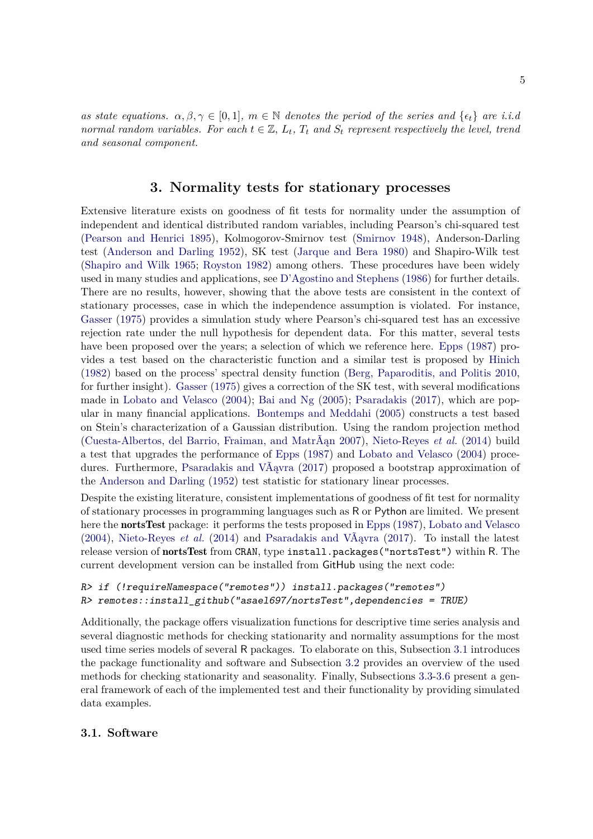*as state equations.*  $\alpha, \beta, \gamma \in [0, 1]$ ,  $m \in \mathbb{N}$  *denotes the period of the series and*  $\{\epsilon_t\}$  *are i.i.d normal random variables. For each*  $t \in \mathbb{Z}$ ,  $L_t$ ,  $T_t$  *and*  $S_t$  *represent respectively the level, trend and seasonal component.*

## **3. Normality tests for stationary processes**

<span id="page-4-0"></span>Extensive literature exists on goodness of fit tests for normality under the assumption of independent and identical distributed random variables, including Pearson's chi-squared test [\(Pearson and Henrici](#page-21-5) [1895\)](#page-21-5), Kolmogorov-Smirnov test [\(Smirnov](#page-22-7) [1948\)](#page-22-7), Anderson-Darling test [\(Anderson and Darling](#page-19-0) [1952\)](#page-19-0), SK test [\(Jarque and Bera](#page-21-6) [1980\)](#page-21-6) and Shapiro-Wilk test [\(Shapiro and Wilk](#page-22-8) [1965;](#page-22-8) [Royston](#page-22-9) [1982\)](#page-22-9) among others. These procedures have been widely used in many studies and applications, see [D'Agostino and Stephens](#page-20-0) [\(1986\)](#page-20-0) for further details. There are no results, however, showing that the above tests are consistent in the context of stationary processes, case in which the independence assumption is violated. For instance, [Gasser](#page-20-6) [\(1975\)](#page-20-6) provides a simulation study where Pearson's chi-squared test has an excessive rejection rate under the null hypothesis for dependent data. For this matter, several tests have been proposed over the years; a selection of which we reference here. [Epps](#page-20-1) [\(1987\)](#page-20-1) provides a test based on the characteristic function and a similar test is proposed by [Hinich](#page-20-7) [\(1982\)](#page-20-7) based on the process' spectral density function [\(Berg, Paparoditis, and Politis](#page-19-2) [2010,](#page-19-2) for further insight). [Gasser](#page-20-6) [\(1975\)](#page-20-6) gives a correction of the SK test, with several modifications made in [Lobato and Velasco](#page-21-0) [\(2004\)](#page-21-0); [Bai and Ng](#page-19-3) [\(2005\)](#page-19-3); [Psaradakis](#page-21-7) [\(2017\)](#page-21-7), which are popular in many financial applications. [Bontemps and Meddahi](#page-19-4) [\(2005\)](#page-19-4) constructs a test based on Stein's characterization of a Gaussian distribution. Using the random projection method [\(Cuesta-Albertos, del Barrio, Fraiman, and MatrÃąn](#page-20-8) [2007\)](#page-20-8), [Nieto-Reyes](#page-21-1) *et al.* [\(2014\)](#page-21-1) build a test that upgrades the performance of [Epps](#page-20-1) [\(1987\)](#page-20-1) and [Lobato and Velasco](#page-21-0) [\(2004\)](#page-21-0) procedures. Furthermore, [Psaradakis and VÃąvra](#page-22-0) [\(2017\)](#page-22-0) proposed a bootstrap approximation of the [Anderson and Darling](#page-19-0) [\(1952\)](#page-19-0) test statistic for stationary linear processes.

Despite the existing literature, consistent implementations of goodness of fit test for normality of stationary processes in programming languages such as R or Python are limited. We present here the **nortsTest** package: it performs the tests proposed in [Epps](#page-20-1) [\(1987\)](#page-20-1), [Lobato and Velasco](#page-21-0) [\(2004\)](#page-21-0), [Nieto-Reyes](#page-21-1) *et al.* [\(2014\)](#page-21-1) and [Psaradakis and VÃąvra](#page-22-0) [\(2017\)](#page-22-0). To install the latest release version of nortsTest from CRAN, type install.packages("nortsTest") within R. The current development version can be installed from GitHub using the next code:

```
R> if (!requireNamespace("remotes")) install.packages("remotes")
R> remotes::install_github("asael697/nortsTest",dependencies = TRUE)
```
Additionally, the package offers visualization functions for descriptive time series analysis and several diagnostic methods for checking stationarity and normality assumptions for the most used time series models of several R packages. To elaborate on this, Subsection [3.1](#page-4-1) introduces the package functionality and software and Subsection [3.2](#page-5-0) provides an overview of the used methods for checking stationarity and seasonality. Finally, Subsections [3.3-](#page-6-0)[3.6](#page-11-0) present a general framework of each of the implemented test and their functionality by providing simulated data examples.

#### <span id="page-4-1"></span>**3.1. Software**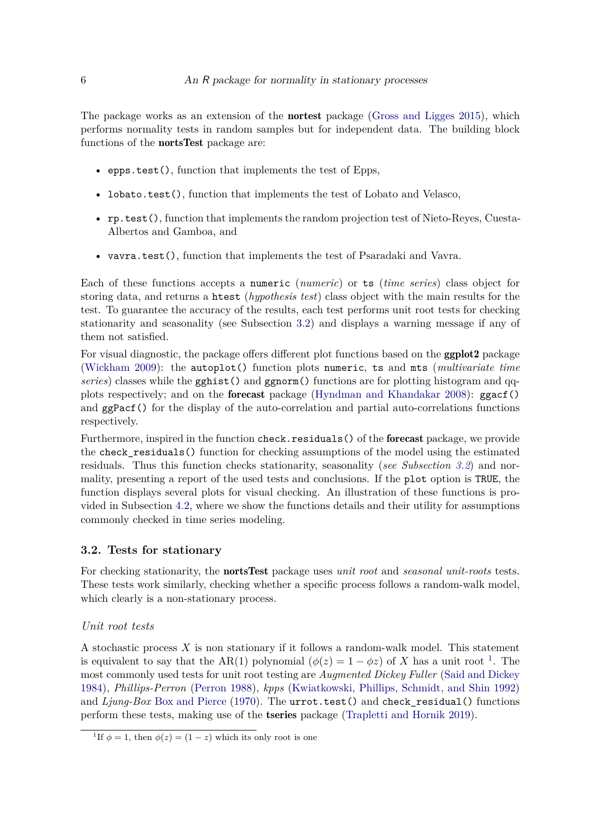The package works as an extension of the nortest package [\(Gross and Ligges](#page-20-9) [2015\)](#page-20-9), which performs normality tests in random samples but for independent data. The building block functions of the nortsTest package are:

- epps.test(), function that implements the test of Epps.
- lobato.test(), function that implements the test of Lobato and Velasco,
- rp.test(), function that implements the random projection test of Nieto-Reyes, Cuesta-Albertos and Gamboa, and
- vavra.test(), function that implements the test of Psaradaki and Vavra.

Each of these functions accepts a numeric (*numeric*) or ts (*time series*) class object for storing data, and returns a htest (*hypothesis test*) class object with the main results for the test. To guarantee the accuracy of the results, each test performs unit root tests for checking stationarity and seasonality (see Subsection [3.2\)](#page-5-0) and displays a warning message if any of them not satisfied.

For visual diagnostic, the package offers different plot functions based on the ggplot2 package [\(Wickham](#page-22-10) [2009\)](#page-22-10): the autoplot() function plots numeric, ts and mts (*multivariate time series*) classes while the gghist() and ggnorm() functions are for plotting histogram and qqplots respectively; and on the forecast package [\(Hyndman and Khandakar](#page-20-2) [2008\)](#page-20-2): ggacf() and ggPacf() for the display of the auto-correlation and partial auto-correlations functions respectively.

Furthermore, inspired in the function check.residuals() of the **forecast** package, we provide the check\_residuals() function for checking assumptions of the model using the estimated residuals. Thus this function checks stationarity, seasonality (*see Subsection [3.2](#page-5-0)*) and normality, presenting a report of the used tests and conclusions. If the plot option is TRUE, the function displays several plots for visual checking. An illustration of these functions is provided in Subsection [4.2,](#page-13-2) where we show the functions details and their utility for assumptions commonly checked in time series modeling.

#### <span id="page-5-0"></span>**3.2. Tests for stationary**

For checking stationarity, the nortsTest package uses *unit root* and *seasonal unit-roots* tests. These tests work similarly, checking whether a specific process follows a random-walk model, which clearly is a non-stationary process.

#### *Unit root tests*

A stochastic process *X* is non stationary if it follows a random-walk model. This statement is equivalent to say that the AR([1](#page-5-1)) polynomial  $(\phi(z) = 1 - \phi z)$  of *X* has a unit root <sup>1</sup>. The most commonly used tests for unit root testing are *Augmented Dickey Fuller* [\(Said and Dickey](#page-22-11) [1984\)](#page-22-11), *Phillips-Perron* [\(Perron](#page-21-8) [1988\)](#page-21-8), *kpps* [\(Kwiatkowski, Phillips, Schmidt, and Shin](#page-21-9) [1992\)](#page-21-9) and *Ljung-Box* [Box and Pierce](#page-20-10) [\(1970\)](#page-20-10). The urrot.test() and check\_residual() functions perform these tests, making use of the tseries package [\(Trapletti and Hornik](#page-22-12) [2019\)](#page-22-12).

<span id="page-5-1"></span><sup>&</sup>lt;sup>1</sup>If  $\phi = 1$ , then  $\phi(z) = (1 - z)$  which its only root is one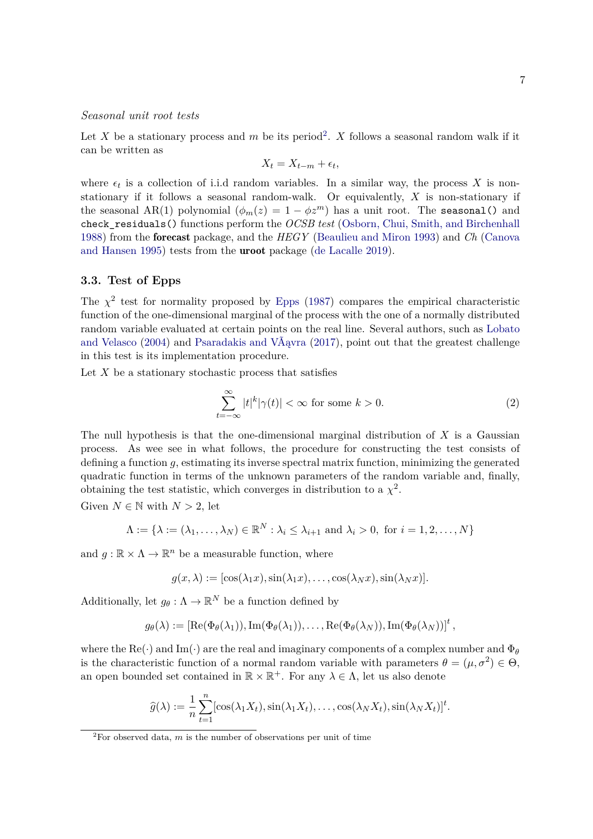#### *Seasonal unit root tests*

Let X be a stationary process and  $m$  be its period<sup>[2](#page-6-1)</sup>. X follows a seasonal random walk if it can be written as

$$
X_t = X_{t-m} + \epsilon_t,
$$

where  $\epsilon_t$  is a collection of i.i.d random variables. In a similar way, the process X is nonstationary if it follows a seasonal random-walk. Or equivalently, *X* is non-stationary if the seasonal AR(1) polynomial  $(\phi_m(z) = 1 - \phi z^m)$  has a unit root. The seasonal () and check\_residuals() functions perform the *OCSB test* [\(Osborn, Chui, Smith, and Birchenhall](#page-21-10) [1988\)](#page-21-10) from the forecast package, and the *HEGY* [\(Beaulieu and Miron](#page-19-5) [1993\)](#page-19-5) and *Ch* [\(Canova](#page-20-11) [and Hansen](#page-20-11) [1995\)](#page-20-11) tests from the uroot package [\(de Lacalle](#page-20-12) [2019\)](#page-20-12).

### <span id="page-6-0"></span>**3.3. Test of Epps**

The  $\chi^2$  test for normality proposed by [Epps](#page-20-1) [\(1987\)](#page-20-1) compares the empirical characteristic function of the one-dimensional marginal of the process with the one of a normally distributed random variable evaluated at certain points on the real line. Several authors, such as [Lobato](#page-21-0) [and Velasco](#page-21-0) [\(2004\)](#page-21-0) and [Psaradakis and VÃąvra](#page-22-0) [\(2017\)](#page-22-0), point out that the greatest challenge in this test is its implementation procedure.

Let *X* be a stationary stochastic process that satisfies

<span id="page-6-2"></span>
$$
\sum_{t=-\infty}^{\infty} |t|^k |\gamma(t)| < \infty \text{ for some } k > 0. \tag{2}
$$

The null hypothesis is that the one-dimensional marginal distribution of *X* is a Gaussian process. As wee see in what follows, the procedure for constructing the test consists of defining a function *g*, estimating its inverse spectral matrix function, minimizing the generated quadratic function in terms of the unknown parameters of the random variable and, finally, obtaining the test statistic, which converges in distribution to a  $\chi^2$ .

Given  $N \in \mathbb{N}$  with  $N > 2$ , let

$$
\Lambda := \{ \lambda := (\lambda_1, \dots, \lambda_N) \in \mathbb{R}^N : \lambda_i \le \lambda_{i+1} \text{ and } \lambda_i > 0, \text{ for } i = 1, 2, \dots, N \}
$$

and  $g: \mathbb{R} \times \Lambda \to \mathbb{R}^n$  be a measurable function, where

$$
g(x,\lambda) := [\cos(\lambda_1 x), \sin(\lambda_1 x), \dots, \cos(\lambda_N x), \sin(\lambda_N x)].
$$

Additionally, let  $g_{\theta}: \Lambda \to \mathbb{R}^N$  be a function defined by

$$
g_{\theta}(\lambda) := \left[ \mathrm{Re}(\Phi_{\theta}(\lambda_1)), \mathrm{Im}(\Phi_{\theta}(\lambda_1)), \ldots, \mathrm{Re}(\Phi_{\theta}(\lambda_N)), \mathrm{Im}(\Phi_{\theta}(\lambda_N)) \right]^t,
$$

where the Re( $\cdot$ ) and Im( $\cdot$ ) are the real and imaginary components of a complex number and  $\Phi$ <sup>*θ*</sup> is the characteristic function of a normal random variable with parameters  $\theta = (\mu, \sigma^2) \in \Theta$ , an open bounded set contained in  $\mathbb{R} \times \mathbb{R}^+$ . For any  $\lambda \in \Lambda$ , let us also denote

$$
\widehat{g}(\lambda) := \frac{1}{n} \sum_{t=1}^{n} [\cos(\lambda_1 X_t), \sin(\lambda_1 X_t), \dots, \cos(\lambda_N X_t), \sin(\lambda_N X_t)]^t.
$$

<span id="page-6-1"></span><sup>&</sup>lt;sup>2</sup>For observed data,  $m$  is the number of observations per unit of time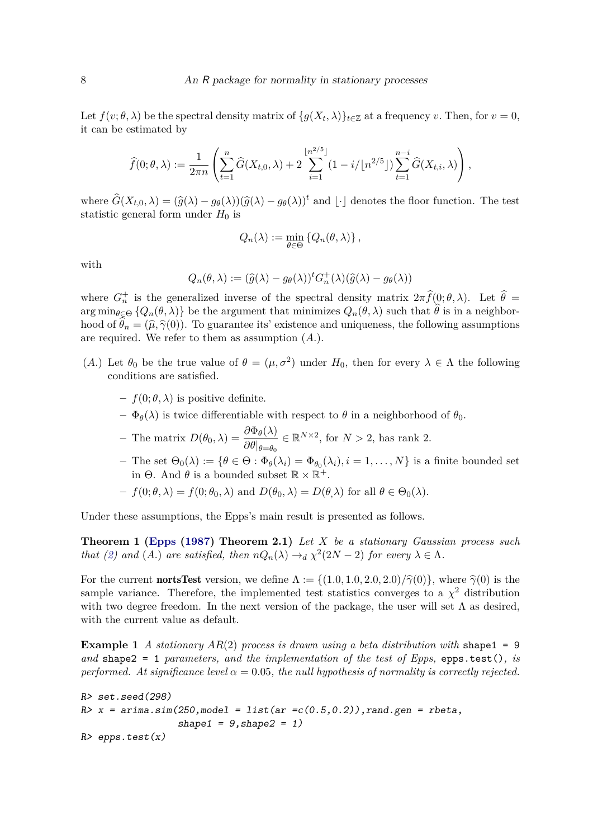Let  $f(v; \theta, \lambda)$  be the spectral density matrix of  $\{g(X_t, \lambda)\}_{t \in \mathbb{Z}}$  at a frequency *v*. Then, for  $v = 0$ , it can be estimated by

$$
\widehat{f}(0;\theta,\lambda) := \frac{1}{2\pi n} \left( \sum_{t=1}^n \widehat{G}(X_{t,0},\lambda) + 2 \sum_{i=1}^{\lfloor n^{2/5} \rfloor} (1 - i/\lfloor n^{2/5} \rfloor) \sum_{t=1}^{n-i} \widehat{G}(X_{t,i},\lambda) \right),
$$

where  $\hat{G}(X_{t,0},\lambda) = (\hat{g}(\lambda) - g_{\theta}(\lambda))(\hat{g}(\lambda) - g_{\theta}(\lambda))^{t}$  and  $|\cdot|$  denotes the floor function. The test statistic general form under  $H_0$  is

$$
Q_n(\lambda) := \min_{\theta \in \Theta} \left\{ Q_n(\theta, \lambda) \right\},\,
$$

with

$$
Q_n(\theta, \lambda) := (\widehat{g}(\lambda) - g_\theta(\lambda))^t G_n^+(\lambda) (\widehat{g}(\lambda) - g_\theta(\lambda))
$$

where  $G_n^+$  is the generalized inverse of the spectral density matrix  $2\pi \hat{f}(0;\theta,\lambda)$ . Let  $\hat{\theta}$  $\arg \min_{\theta \in \Theta} \{Q_n(\theta, \lambda)\}\$ be the argument that minimizes  $Q_n(\theta, \lambda)$  such that  $\hat{\theta}$  is in a neighborhood of  $\hat{\theta}_n = (\hat{\mu}, \hat{\gamma}(0))$ . To guarantee its' existence and uniqueness, the following assumptions are required. We refer to them as assumption (*A.*).

- (*A.*) Let  $\theta_0$  be the true value of  $\theta = (\mu, \sigma^2)$  under  $H_0$ , then for every  $\lambda \in \Lambda$  the following conditions are satisfied.
	- $f(0; \theta, \lambda)$  is positive definite.
	- **–** Φ*θ*(*λ*) is twice differentiable with respect to *θ* in a neighborhood of *θ*0.
	- **–** The matrix *<sup>D</sup>*(*θ*0*, λ*) = *<sup>∂</sup>*Φ*θ*(*λ*) *∂θ*|*θ*=*θ*<sup>0</sup>  $\in \mathbb{R}^{N \times 2}$ , for  $N > 2$ , has rank 2.
	- $-$  The set  $\Theta_0(\lambda) := \{ \theta \in \Theta : \Phi_{\theta}(\lambda_i) = \Phi_{\theta_0}(\lambda_i), i = 1, ..., N \}$  is a finite bounded set in  $\Theta$ . And  $\theta$  is a bounded subset  $\mathbb{R} \times \mathbb{R}^+$ .

$$
- f(0; \theta, \lambda) = f(0; \theta_0, \lambda) \text{ and } D(\theta_0, \lambda) = D(\theta, \lambda) \text{ for all } \theta \in \Theta_0(\lambda).
$$

Under these assumptions, the Epps's main result is presented as follows.

**Theorem 1 [\(Epps](#page-20-1) [\(1987\)](#page-20-1) Theorem 2.1)** *Let X be a stationary Gaussian process such that* [\(2\)](#page-6-2) *and* (*A.*) *are satisfied, then*  $nQ_n(\lambda) \rightarrow_d \chi^2(2N-2)$  *for every*  $\lambda \in \Lambda$ *.* 

For the current **nortsTest** version, we define  $\Lambda := \{(1.0, 1.0, 2.0, 2.0) / \hat{\gamma}(0)\}$ , where  $\hat{\gamma}(0)$  is the sample variance. Therefore, the implemented test statistics converges to a  $\chi^2$  distribution with two degree freedom. In the next version of the package, the user will set  $\Lambda$  as desired, with the current value as default.

<span id="page-7-0"></span>**Example 1** *A stationary AR*(2) *process is drawn using a beta distribution with* shape1 = 9 *and* shape2 = 1 *parameters, and the implementation of the test of Epps,* epps.test()*, is performed. At significance level*  $\alpha = 0.05$ , the null hypothesis of normality is correctly rejected.

```
R> set.seed(298)
R> x = \text{arima.sim}(250, \text{model} = \text{list}(\text{ar} = c(0.5, 0.2)), rand.gen = rbeta,
                      shape1 = 9, shape2 = 1)
R> epps.test(x)
```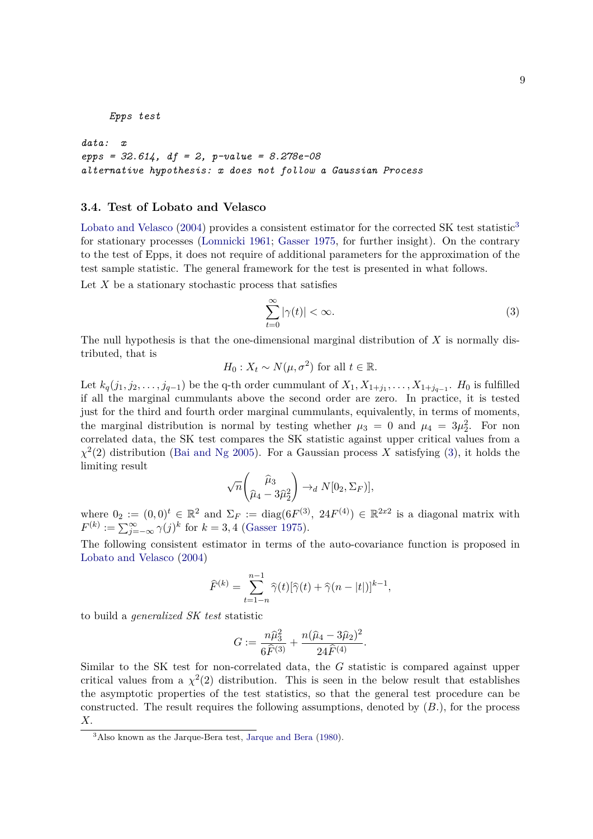*Epps test*

*data: x epps = 32.614, df = 2, p-value = 8.278e-08 alternative hypothesis: x does not follow a Gaussian Process*

#### **3.4. Test of Lobato and Velasco**

[Lobato and Velasco](#page-21-0) [\(2004\)](#page-21-0) provides a consistent estimator for the corrected SK test statistic<sup>[3](#page-8-0)</sup> for stationary processes [\(Lomnicki](#page-21-11) [1961;](#page-21-11) [Gasser](#page-20-6) [1975,](#page-20-6) for further insight). On the contrary to the test of Epps, it does not require of additional parameters for the approximation of the test sample statistic. The general framework for the test is presented in what follows.

Let *X* be a stationary stochastic process that satisfies

<span id="page-8-1"></span>
$$
\sum_{t=0}^{\infty} |\gamma(t)| < \infty. \tag{3}
$$

The null hypothesis is that the one-dimensional marginal distribution of *X* is normally distributed, that is

$$
H_0: X_t \sim N(\mu, \sigma^2)
$$
 for all  $t \in \mathbb{R}$ .

Let  $k_q(j_1, j_2, \ldots, j_{q-1})$  be the q-th order cummulant of  $X_1, X_{1+j_1}, \ldots, X_{1+j_{q-1}}$ .  $H_0$  is fulfilled if all the marginal cummulants above the second order are zero. In practice, it is tested just for the third and fourth order marginal cummulants, equivalently, in terms of moments, the marginal distribution is normal by testing whether  $\mu_3 = 0$  and  $\mu_4 = 3\mu_2^2$ . For non correlated data, the SK test compares the SK statistic against upper critical values from a  $\chi^2(2)$  distribution [\(Bai and Ng](#page-19-3) [2005\)](#page-19-3). For a Gaussian process *X* satisfying [\(3\)](#page-8-1), it holds the limiting result

$$
\sqrt{n}\begin{pmatrix} \widehat{\mu}_3\\ \widehat{\mu}_4 - 3\widehat{\mu}_2^2 \end{pmatrix} \to_d N[0_2, \Sigma_F)],
$$

where  $0_2 := (0,0)^t \in \mathbb{R}^2$  and  $\Sigma_F := \text{diag}(6F^{(3)}, 24F^{(4)}) \in \mathbb{R}^{2x^2}$  is a diagonal matrix with  $F^{(k)} := \sum_{j=-\infty}^{\infty} \gamma(j)^k$  for  $k = 3, 4$  [\(Gasser](#page-20-6) [1975\)](#page-20-6).

The following consistent estimator in terms of the auto-covariance function is proposed in [Lobato and Velasco](#page-21-0) [\(2004\)](#page-21-0)

$$
\widehat{F}^{(k)} = \sum_{t=1-n}^{n-1} \widehat{\gamma}(t) [\widehat{\gamma}(t) + \widehat{\gamma}(n-|t|)]^{k-1},
$$

to build a *generalized SK test* statistic

$$
G := \frac{n\hat{\mu}_3^2}{6\hat{F}^{(3)}} + \frac{n(\hat{\mu}_4 - 3\hat{\mu}_2)^2}{24\hat{F}^{(4)}}.
$$

Similar to the SK test for non-correlated data, the *G* statistic is compared against upper critical values from a  $\chi^2(2)$  distribution. This is seen in the below result that establishes the asymptotic properties of the test statistics, so that the general test procedure can be constructed. The result requires the following assumptions, denoted by (*B.*)*,* for the process *X.*

<span id="page-8-0"></span><sup>3</sup>Also known as the Jarque-Bera test, [Jarque and Bera](#page-21-6) [\(1980\)](#page-21-6).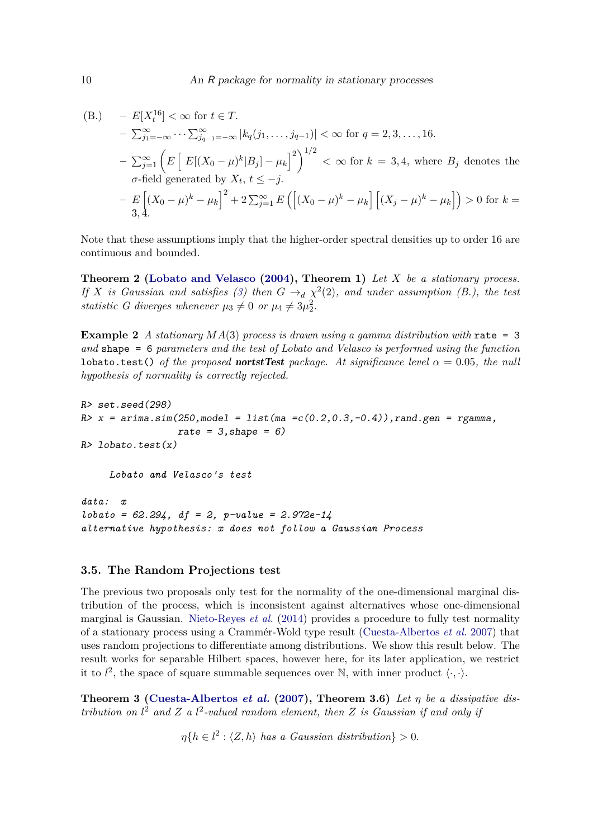(B.) 
$$
- E[X_t^{16}] < \infty \text{ for } t \in T.
$$

$$
- \sum_{j_1 = -\infty}^{\infty} \cdots \sum_{j_{q-1} = -\infty}^{\infty} |k_q(j_1, \ldots, j_{q-1})| < \infty \text{ for } q = 2, 3, \ldots, 16.
$$

$$
- \sum_{j=1}^{\infty} \left( E \left[ E[(X_0 - \mu)^k | B_j] - \mu_k \right]^2 \right)^{1/2} < \infty \text{ for } k = 3, 4, \text{ where } B_j \text{ denotes the } \sigma\text{-field generated by } X_t, t \le -j.
$$

$$
- E \left[ (X_0 - \mu)^k - \mu_k \right]^2 + 2 \sum_{j=1}^{\infty} E \left( \left[ (X_0 - \mu)^k - \mu_k \right] \left[ (X_j - \mu)^k - \mu_k \right] \right) > 0 \text{ for } k = 3, 4.
$$

Note that these assumptions imply that the higher-order spectral densities up to order 16 are continuous and bounded.

**Theorem 2 [\(Lobato and Velasco](#page-21-0) [\(2004\)](#page-21-0), Theorem 1)** *Let X be a stationary process. If X is Gaussian and satisfies* [\(3\)](#page-8-1) then  $G \rightarrow_d \chi^2(2)$ , and under assumption (B.), the test *statistic G diverges whenever*  $\mu_3 \neq 0$  *or*  $\mu_4 \neq 3\mu_2^2$ .

**Example 2** *A stationary MA*(3) *process is drawn using a gamma distribution with* rate = 3 *and* shape = 6 *parameters and the test of Lobato and Velasco is performed using the function* lobato.test() *of the proposed nortstTest package. At significance level*  $\alpha = 0.05$ *, the null hypothesis of normality is correctly rejected.*

```
R> set.seed(298)
R > x = \text{arima.sim}(250, \text{model} = 1 \text{ist}(\text{ma} = c(0.2, 0.3, -0.4)), rand.gen = rgamma,
                     rate = 3 \,shape = 6)R> lobato.test(x)Lobato and Velasco's test
```

```
data: x
lobato = 62.294, df = 2, p-value = 2.972e-14
alternative hypothesis: x does not follow a Gaussian Process
```
#### **3.5. The Random Projections test**

The previous two proposals only test for the normality of the one-dimensional marginal distribution of the process, which is inconsistent against alternatives whose one-dimensional marginal is Gaussian. [Nieto-Reyes](#page-21-1) *et al.* [\(2014\)](#page-21-1) provides a procedure to fully test normality of a stationary process using a Crammér-Wold type result [\(Cuesta-Albertos](#page-20-8) *et al.* [2007\)](#page-20-8) that uses random projections to differentiate among distributions. We show this result below. The result works for separable Hilbert spaces, however here, for its later application, we restrict it to  $l^2$ , the space of square summable sequences over N, with inner product  $\langle \cdot, \cdot \rangle$ .

**Theorem 3 [\(Cuesta-Albertos](#page-20-8)** *et al.* **[\(2007\)](#page-20-8), Theorem 3.6)** *Let η be a dissipative distribution on*  $l^2$  *and*  $Z$  *a*  $l^2$ -valued random element, then  $Z$  *is Gaussian if and only if* 

 $\eta\{h \in l^2 : \langle Z, h \rangle \text{ has a Gaussian distribution}\} > 0.$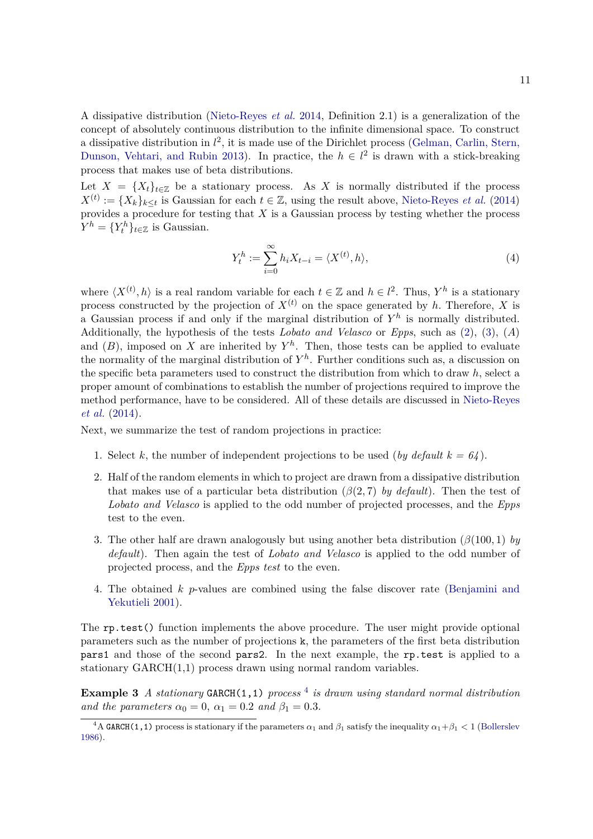A dissipative distribution [\(Nieto-Reyes](#page-21-1) *et al.* [2014,](#page-21-1) Definition 2.1) is a generalization of the concept of absolutely continuous distribution to the infinite dimensional space. To construct a dissipative distribution in  $l^2$ , it is made use of the Dirichlet process [\(Gelman, Carlin, Stern,](#page-20-13) [Dunson, Vehtari, and Rubin](#page-20-13) [2013\)](#page-20-13). In practice, the  $h \in l^2$  is drawn with a stick-breaking process that makes use of beta distributions.

Let  $X = \{X_t\}_{t\in\mathbb{Z}}$  be a stationary process. As X is normally distributed if the process  $X^{(t)} := \{X_k\}_{k \leq t}$  is Gaussian for each  $t \in \mathbb{Z}$ , using the result above, [Nieto-Reyes](#page-21-1) *et al.* [\(2014\)](#page-21-1) provides a procedure for testing that *X* is a Gaussian process by testing whether the process  $Y^h = \{Y_t^h\}_{t \in \mathbb{Z}}$  is Gaussian.

<span id="page-10-1"></span>
$$
Y_t^h := \sum_{i=0}^{\infty} h_i X_{t-i} = \langle X^{(t)}, h \rangle,
$$
\n(4)

where  $\langle X^{(t)}, h \rangle$  is a real random variable for each  $t \in \mathbb{Z}$  and  $h \in l^2$ . Thus,  $Y^h$  is a stationary process constructed by the projection of  $X^{(t)}$  on the space generated by *h*. Therefore, *X* is a Gaussian process if and only if the marginal distribution of *Y h* is normally distributed. Additionally, the hypothesis of the tests *Lobato and Velasco* or *Epps*, such as [\(2\)](#page-6-2), [\(3\)](#page-8-1), (*A*) and  $(B)$ , imposed on *X* are inherited by  $Y^h$ . Then, those tests can be applied to evaluate the normality of the marginal distribution of  $Y^h$ . Further conditions such as, a discussion on the specific beta parameters used to construct the distribution from which to draw *h*, select a proper amount of combinations to establish the number of projections required to improve the method performance, have to be considered. All of these details are discussed in [Nieto-Reyes](#page-21-1) *[et al.](#page-21-1)* [\(2014\)](#page-21-1).

Next, we summarize the test of random projections in practice:

- 1. Select *k*, the number of independent projections to be used (*by default k = 64*).
- 2. Half of the random elements in which to project are drawn from a dissipative distribution that makes use of a particular beta distribution  $(\beta(2, 7)$  *by default*). Then the test of *Lobato and Velasco* is applied to the odd number of projected processes, and the *Epps* test to the even.
- 3. The other half are drawn analogously but using another beta distribution (*β*(100*,* 1) *by default*). Then again the test of *Lobato and Velasco* is applied to the odd number of projected process, and the *Epps test* to the even.
- 4. The obtained *k p*-values are combined using the false discover rate [\(Benjamini and](#page-19-6) [Yekutieli](#page-19-6) [2001\)](#page-19-6).

The rp.test() function implements the above procedure. The user might provide optional parameters such as the number of projections k, the parameters of the first beta distribution pars1 and those of the second pars2. In the next example, the rp.test is applied to a stationary GARCH(1,1) process drawn using normal random variables.

**Example 3** *A stationary* GARCH(1,1) *process*<sup>[4](#page-10-0)</sup> *is drawn using standard normal distribution and the parameters*  $\alpha_0 = 0$ ,  $\alpha_1 = 0.2$  *and*  $\beta_1 = 0.3$ *.* 

<span id="page-10-0"></span><sup>&</sup>lt;sup>4</sup>A GARCH(1,1) process is stationary if the parameters  $\alpha_1$  and  $\beta_1$  satisfy the inequality  $\alpha_1 + \beta_1 < 1$  [\(Bollerslev](#page-19-1) [1986\)](#page-19-1).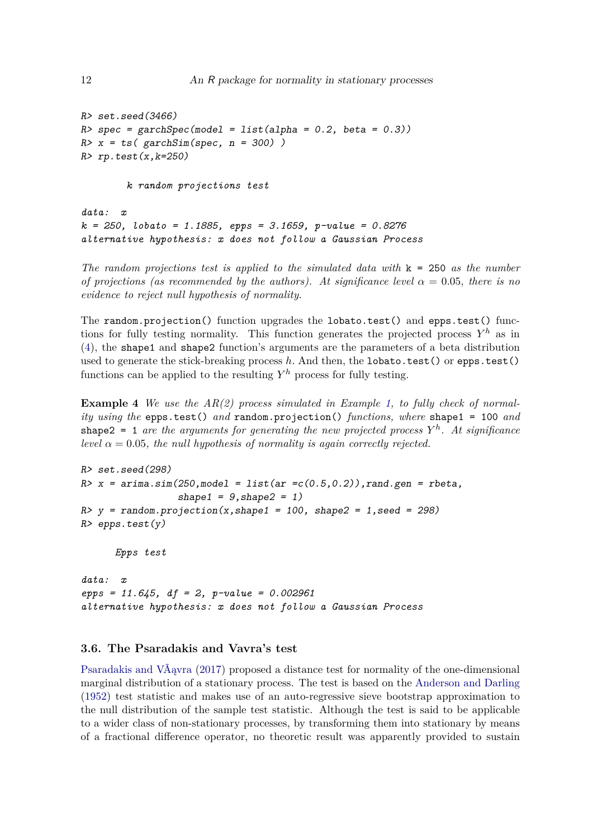```
R > set. seed(3466)R> spec = garchSpec(model = list(alpha = 0.2, beta = 0.3))
R > x = ts( garchSim(spec, n = 300))
R>rp.test(x,k=250)k random projections test
data: x
k = 250, lobato = 1.1885, epps = 3.1659, p-value = 0.8276
alternative hypothesis: x does not follow a Gaussian Process
```
*The random projections test is applied to the simulated data with* k = 250 *as the number of projections (as recommended by the authors). At significance level*  $\alpha = 0.05$ , *there is no evidence to reject null hypothesis of normality.*

The random.projection() function upgrades the lobato.test() and epps.test() functions for fully testing normality. This function generates the projected process  $Y^h$  as in [\(4\)](#page-10-1), the shape1 and shape2 function's arguments are the parameters of a beta distribution used to generate the stick-breaking process *h*. And then, the lobato.test() or epps.test() functions can be applied to the resulting  $Y^h$  process for fully testing.

**Example 4** *We use the AR(2) process simulated in Example [1,](#page-7-0) to fully check of normality using the* epps.test() *and* random.projection() *functions, where* shape1 = 100 *and* shape2 = 1 *are the arguments for generating the new projected process*  $Y^h$ . At significance *level*  $\alpha = 0.05$ *, the null hypothesis of normality is again correctly rejected.* 

```
R> set.seed(298)
R> x = \text{arima.sim}(250, \text{model} = 1 \text{ist}(\text{ar} = c(0.5, 0.2)), rand.gen = rbeta,
                   shape1 = 9, shape2 = 1)
R y = random.projection(x, shape1 = 100, shape2 = 1, seed = 298)
R> epps.test(y)
      Epps test
data: x
epps = 11.645, df = 2, p-value = 0.002961
alternative hypothesis: x does not follow a Gaussian Process
```
## <span id="page-11-0"></span>**3.6. The Psaradakis and Vavra's test**

[Psaradakis and VÃąvra](#page-22-0) [\(2017\)](#page-22-0) proposed a distance test for normality of the one-dimensional marginal distribution of a stationary process. The test is based on the [Anderson and Darling](#page-19-0) [\(1952\)](#page-19-0) test statistic and makes use of an auto-regressive sieve bootstrap approximation to the null distribution of the sample test statistic. Although the test is said to be applicable to a wider class of non-stationary processes, by transforming them into stationary by means of a fractional difference operator, no theoretic result was apparently provided to sustain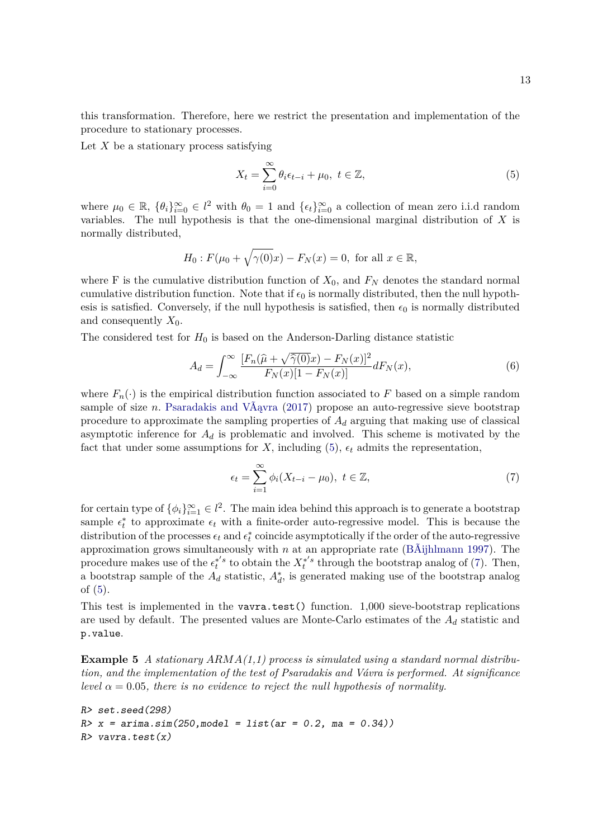this transformation. Therefore, here we restrict the presentation and implementation of the procedure to stationary processes.

Let *X* be a stationary process satisfying

<span id="page-12-0"></span>
$$
X_t = \sum_{i=0}^{\infty} \theta_i \epsilon_{t-i} + \mu_0, \ t \in \mathbb{Z}, \tag{5}
$$

where  $\mu_0 \in \mathbb{R}$ ,  $\{\theta_i\}_{i=0}^{\infty} \in l^2$  with  $\theta_0 = 1$  and  $\{\epsilon_t\}_{i=0}^{\infty}$  a collection of mean zero i.i.d random variables. The null hypothesis is that the one-dimensional marginal distribution of *X* is normally distributed,

$$
H_0: F(\mu_0 + \sqrt{\gamma(0)}x) - F_N(x) = 0
$$
, for all  $x \in \mathbb{R}$ ,

where F is the cumulative distribution function of  $X_0$ , and  $F_N$  denotes the standard normal cumulative distribution function. Note that if  $\epsilon_0$  is normally distributed, then the null hypothesis is satisfied. Conversely, if the null hypothesis is satisfied, then  $\epsilon_0$  is normally distributed and consequently *X*0.

The considered test for  $H_0$  is based on the Anderson-Darling distance statistic

$$
A_d = \int_{-\infty}^{\infty} \frac{[F_n(\hat{\mu} + \sqrt{\hat{\gamma}(0)}x) - F_N(x)]^2}{F_N(x)[1 - F_N(x)]} dF_N(x), \tag{6}
$$

where  $F_n(\cdot)$  is the empirical distribution function associated to F based on a simple random sample of size *n.* [Psaradakis and VÃąvra](#page-22-0) [\(2017\)](#page-22-0) propose an auto-regressive sieve bootstrap procedure to approximate the sampling properties of *A<sup>d</sup>* arguing that making use of classical asymptotic inference for  $A_d$  is problematic and involved. This scheme is motivated by the fact that under some assumptions for *X*, including  $(5)$ ,  $\epsilon_t$  admits the representation,

<span id="page-12-1"></span>
$$
\epsilon_t = \sum_{i=1}^{\infty} \phi_i (X_{t-i} - \mu_0), \ t \in \mathbb{Z}, \tag{7}
$$

for certain type of  $\{\phi_i\}_{i=1}^{\infty} \in l^2$ . The main idea behind this approach is to generate a bootstrap sample  $\epsilon_t^*$  to approximate  $\epsilon_t$  with a finite-order auto-regressive model. This is because the distribution of the processes  $\epsilon_t$  and  $\epsilon_t^*$  coincide asymptotically if the order of the auto-regressive approximation grows simultaneously with *n* at an appropriate rate [\(BÃijhlmann](#page-19-7) [1997\)](#page-19-7). The procedure makes use of the  $\epsilon_t^{*'}$  to obtain the  $X_t^{*'}$  through the bootstrap analog of [\(7\)](#page-12-1). Then, a bootstrap sample of the  $A_d$  statistic,  $A_d^*$ , is generated making use of the bootstrap analog of [\(5\)](#page-12-0).

This test is implemented in the vavra.test() function. 1,000 sieve-bootstrap replications are used by default. The presented values are Monte-Carlo estimates of the *A<sup>d</sup>* statistic and p.value.

**Example 5** *A stationary ARMA(1,1) process is simulated using a standard normal distribution, and the implementation of the test of Psaradakis and Vávra is performed. At significance level*  $\alpha = 0.05$ *, there is no evidence to reject the null hypothesis of normality.* 

```
R> set.seed(298)
R > x = \arima.sim(250, model = list(ar = 0.2, ma = 0.34))R> vavra.test(x)
```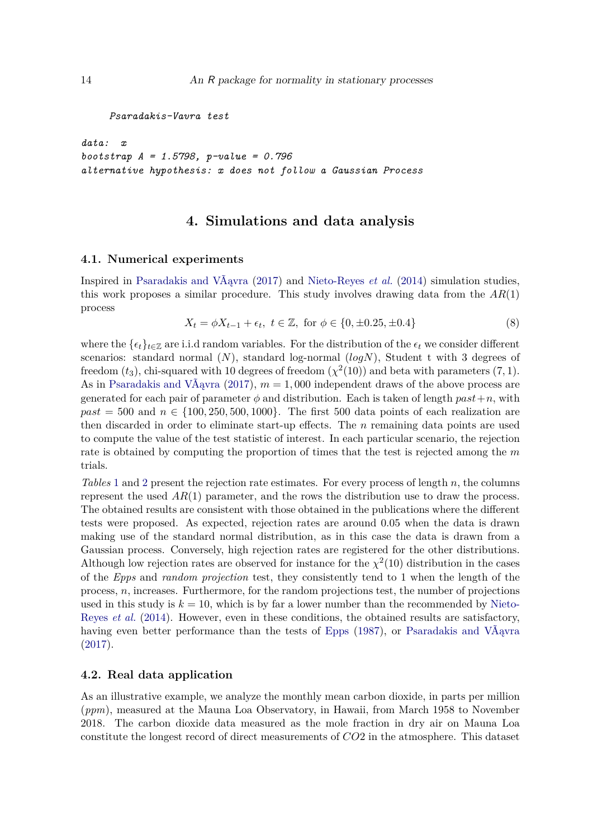```
Psaradakis-Vavra test
```

```
data: x
bootstrap A = 1.5798, p-value = 0.796
alternative hypothesis: x does not follow a Gaussian Process
```
## **4. Simulations and data analysis**

#### <span id="page-13-1"></span><span id="page-13-0"></span>**4.1. Numerical experiments**

<span id="page-13-3"></span>Inspired in [Psaradakis and VÃąvra](#page-22-0) [\(2017\)](#page-22-0) and [Nieto-Reyes](#page-21-1) *et al.* [\(2014\)](#page-21-1) simulation studies, this work proposes a similar procedure. This study involves drawing data from the *AR*(1) process

$$
X_t = \phi X_{t-1} + \epsilon_t, \ t \in \mathbb{Z}, \text{ for } \phi \in \{0, \pm 0.25, \pm 0.4\}
$$
 (8)

where the  $\{\epsilon_t\}_{t\in\mathbb{Z}}$  are i.i.d random variables. For the distribution of the  $\epsilon_t$  we consider different scenarios: standard normal (*N*), standard log-normal (*logN*), Student t with 3 degrees of freedom  $(t_3)$ , chi-squared with 10 degrees of freedom  $(\chi^2(10))$  and beta with parameters  $(7, 1)$ *.* As in Psaradakis and V $\tilde{A}$ <sub>a</sub>vra [\(2017\)](#page-22-0),  $m = 1,000$  independent draws of the above process are generated for each pair of parameter  $\phi$  and distribution. Each is taken of length  $past+n$ , with  $past = 500$  and  $n \in \{100, 250, 500, 1000\}$ . The first 500 data points of each realization are then discarded in order to eliminate start-up effects. The *n* remaining data points are used to compute the value of the test statistic of interest. In each particular scenario, the rejection rate is obtained by computing the proportion of times that the test is rejected among the *m* trials.

*Tables* [1](#page-14-0) and [2](#page-15-0) present the rejection rate estimates. For every process of length *n,* the columns represent the used  $AR(1)$  parameter, and the rows the distribution use to draw the process. The obtained results are consistent with those obtained in the publications where the different tests were proposed. As expected, rejection rates are around 0.05 when the data is drawn making use of the standard normal distribution, as in this case the data is drawn from a Gaussian process. Conversely, high rejection rates are registered for the other distributions. Although low rejection rates are observed for instance for the  $\chi^2(10)$  distribution in the cases of the *Epps* and *random projection* test, they consistently tend to 1 when the length of the process, *n,* increases. Furthermore, for the random projections test, the number of projections used in this study is  $k = 10$ , which is by far a lower number than the recommended by [Nieto-](#page-21-1)[Reyes](#page-21-1) *et al.* [\(2014\)](#page-21-1). However, even in these conditions, the obtained results are satisfactory, having even better performance than the tests of [Epps](#page-20-1) [\(1987\)](#page-20-1), or [Psaradakis and VÃąvra](#page-22-0) [\(2017\)](#page-22-0).

### <span id="page-13-2"></span>**4.2. Real data application**

As an illustrative example, we analyze the monthly mean carbon dioxide, in parts per million (*ppm*), measured at the Mauna Loa Observatory, in Hawaii, from March 1958 to November 2018. The carbon dioxide data measured as the mole fraction in dry air on Mauna Loa constitute the longest record of direct measurements of *CO*2 in the atmosphere. This dataset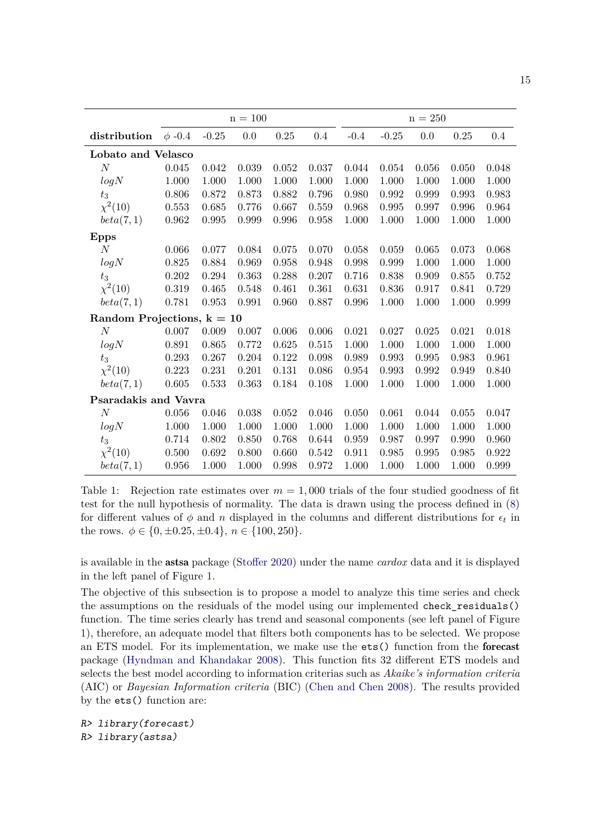<span id="page-14-0"></span>

|                              | $n = 100$   |         |       |             |       | $n = 250$ |         |       |       |           |  |
|------------------------------|-------------|---------|-------|-------------|-------|-----------|---------|-------|-------|-----------|--|
| distribution                 | $\phi$ -0.4 | $-0.25$ | 0.0   | 0.25        | 0.4   | $-0.4$    | $-0.25$ | 0.0   | 0.25  | 0.4       |  |
| Lobato and Velasco           |             |         |       |             |       |           |         |       |       |           |  |
| $\cal N$                     | 0.045       | 0.042   | 0.039 | 0.052       | 0.037 | 0.044     | 0.054   | 0.056 | 0.050 | 0.048     |  |
| logN                         | 1.000       | 1.000   | 1.000 | 1.000       | 1.000 | 1.000     | 1.000   | 1.000 | 1.000 | 1.000     |  |
| $t_3$                        | 0.806       | 0.872   | 0.873 | 0.882       | 0.796 | 0.980     | 0.992   | 0.999 | 0.993 | 0.983     |  |
| $\chi^2(10)$                 | 0.553       | 0.685   | 0.776 | 0.667       | 0.559 | 0.968     | 0.995   | 0.997 | 0.996 | 0.964     |  |
| beta(7,1)                    | 0.962       | 0.995   | 0.999 | 0.996       | 0.958 | 1.000     | 1.000   | 1.000 | 1.000 | $1.000\,$ |  |
| <b>Epps</b>                  |             |         |       |             |       |           |         |       |       |           |  |
| N                            | 0.066       | 0.077   | 0.084 | 0.075       | 0.070 | 0.058     | 0.059   | 0.065 | 0.073 | 0.068     |  |
| logN                         | 0.825       | 0.884   | 0.969 | $\,0.958\,$ | 0.948 | 0.998     | 0.999   | 1.000 | 1.000 | $1.000\,$ |  |
| $t_3$                        | 0.202       | 0.294   | 0.363 | 0.288       | 0.207 | 0.716     | 0.838   | 0.909 | 0.855 | 0.752     |  |
| $\chi^2(10)$                 | 0.319       | 0.465   | 0.548 | 0.461       | 0.361 | 0.631     | 0.836   | 0.917 | 0.841 | 0.729     |  |
| beta(7,1)                    | 0.781       | 0.953   | 0.991 | 0.960       | 0.887 | 0.996     | 1.000   | 1.000 | 1.000 | 0.999     |  |
| Random Projections, $k = 10$ |             |         |       |             |       |           |         |       |       |           |  |
| $\cal N$                     | 0.007       | 0.009   | 0.007 | 0.006       | 0.006 | 0.021     | 0.027   | 0.025 | 0.021 | 0.018     |  |
| logN                         | 0.891       | 0.865   | 0.772 | 0.625       | 0.515 | 1.000     | 1.000   | 1.000 | 1.000 | 1.000     |  |
| $t_3$                        | 0.293       | 0.267   | 0.204 | 0.122       | 0.098 | 0.989     | 0.993   | 0.995 | 0.983 | 0.961     |  |
| $\chi^2(10)$                 | 0.223       | 0.231   | 0.201 | 0.131       | 0.086 | 0.954     | 0.993   | 0.992 | 0.949 | 0.840     |  |
| beta(7,1)                    | 0.605       | 0.533   | 0.363 | 0.184       | 0.108 | 1.000     | 1.000   | 1.000 | 1.000 | 1.000     |  |
| Psaradakis and Vavra         |             |         |       |             |       |           |         |       |       |           |  |
| N                            | 0.056       | 0.046   | 0.038 | 0.052       | 0.046 | 0.050     | 0.061   | 0.044 | 0.055 | 0.047     |  |
| logN                         | $1.000\,$   | 1.000   | 1.000 | 1.000       | 1.000 | 1.000     | 1.000   | 1.000 | 1.000 | 1.000     |  |
| $t_3$                        | 0.714       | 0.802   | 0.850 | 0.768       | 0.644 | 0.959     | 0.987   | 0.997 | 0.990 | 0.960     |  |
| $\chi^2(10)$                 | 0.500       | 0.692   | 0.800 | 0.660       | 0.542 | 0.911     | 0.985   | 0.995 | 0.985 | 0.922     |  |
| beta(7,1)                    | 0.956       | 1.000   | 1.000 | 0.998       | 0.972 | 1.000     | 1.000   | 1.000 | 1.000 | 0.999     |  |

Table 1: Rejection rate estimates over  $m = 1,000$  trials of the four studied goodness of fit test for the null hypothesis of normality. The data is drawn using the process defined in [\(8\)](#page-13-3) for different values of  $\phi$  and *n* displayed in the columns and different distributions for  $\epsilon_t$  in the rows.  $\phi \in \{0, \pm 0.25, \pm 0.4\}, n \in \{100, 250\}.$ 

is available in the astsa package [\(Stoffer](#page-22-2) [2020\)](#page-22-2) under the name *cardox* data and it is displayed in the left panel of Figure [1.](#page-16-0)

The objective of this subsection is to propose a model to analyze this time series and check the assumptions on the residuals of the model using our implemented check\_residuals() function. The time series clearly has trend and seasonal components (see left panel of Figure [1\)](#page-16-0), therefore, an adequate model that filters both components has to be selected. We propose an ETS model. For its implementation, we make use the ets() function from the forecast package [\(Hyndman and Khandakar](#page-20-2) [2008\)](#page-20-2). This function fits 32 different ETS models and selects the best model according to information criterias such as *Akaike's information criteria* (AIC) or *Bayesian Information criteria* (BIC) [\(Chen and Chen](#page-20-14) [2008\)](#page-20-14). The results provided by the ets() function are:

R> library(forecast) R> library(astsa)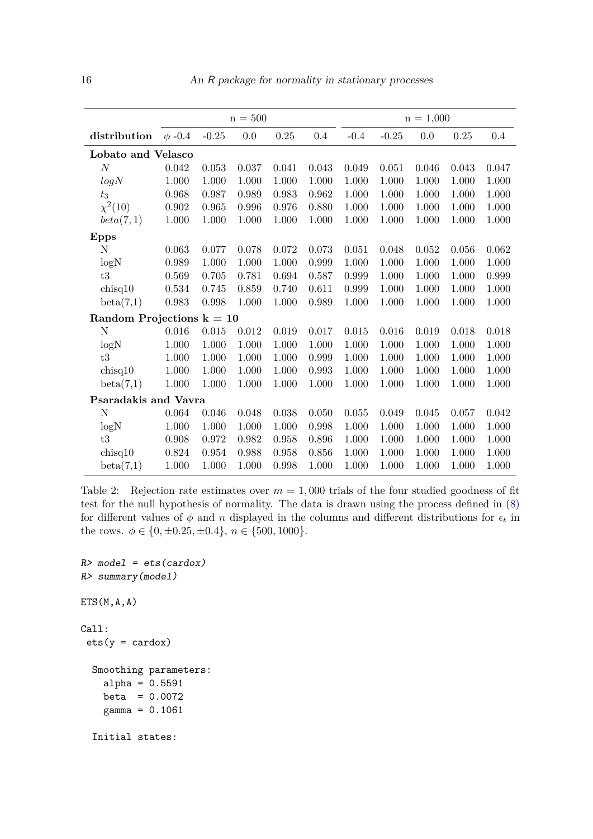<span id="page-15-0"></span>

|                             | $n = 500$   |         |       |          |       | $n = 1,000$ |         |       |       |       |  |
|-----------------------------|-------------|---------|-------|----------|-------|-------------|---------|-------|-------|-------|--|
| distribution                | $\phi$ -0.4 | $-0.25$ | 0.0   | $0.25\,$ | 0.4   | $-0.4$      | $-0.25$ | 0.0   | 0.25  | 0.4   |  |
| Lobato and Velasco          |             |         |       |          |       |             |         |       |       |       |  |
| $\cal N$                    | 0.042       | 0.053   | 0.037 | 0.041    | 0.043 | 0.049       | 0.051   | 0.046 | 0.043 | 0.047 |  |
| logN                        | 1.000       | 1.000   | 1.000 | 1.000    | 1.000 | 1.000       | 1.000   | 1.000 | 1.000 | 1.000 |  |
| $t_3$                       | 0.968       | 0.987   | 0.989 | 0.983    | 0.962 | 1.000       | 1.000   | 1.000 | 1.000 | 1.000 |  |
| $\chi^2(10)$                | 0.902       | 0.965   | 0.996 | 0.976    | 0.880 | 1.000       | 1.000   | 1.000 | 1.000 | 1.000 |  |
| beta(7,1)                   | 1.000       | 1.000   | 1.000 | 1.000    | 1.000 | 1.000       | 1.000   | 1.000 | 1.000 | 1.000 |  |
| <b>Epps</b>                 |             |         |       |          |       |             |         |       |       |       |  |
| N                           | 0.063       | 0.077   | 0.078 | 0.072    | 0.073 | 0.051       | 0.048   | 0.052 | 0.056 | 0.062 |  |
| logN                        | 0.989       | 1.000   | 1.000 | 1.000    | 0.999 | 1.000       | 1.000   | 1.000 | 1.000 | 1.000 |  |
| t3                          | 0.569       | 0.705   | 0.781 | 0.694    | 0.587 | 0.999       | 1.000   | 1.000 | 1.000 | 0.999 |  |
| chisq10                     | 0.534       | 0.745   | 0.859 | 0.740    | 0.611 | 0.999       | 1.000   | 1.000 | 1.000 | 1.000 |  |
| beta(7,1)                   | 0.983       | 0.998   | 1.000 | 1.000    | 0.989 | 1.000       | 1.000   | 1.000 | 1.000 | 1.000 |  |
| Random Projections $k = 10$ |             |         |       |          |       |             |         |       |       |       |  |
| $\mathbf N$                 | 0.016       | 0.015   | 0.012 | 0.019    | 0.017 | 0.015       | 0.016   | 0.019 | 0.018 | 0.018 |  |
| logN                        | 1.000       | 1.000   | 1.000 | 1.000    | 1.000 | 1.000       | 1.000   | 1.000 | 1.000 | 1.000 |  |
| t3                          | 1.000       | 1.000   | 1.000 | 1.000    | 0.999 | 1.000       | 1.000   | 1.000 | 1.000 | 1.000 |  |
| chisq10                     | 1.000       | 1.000   | 1.000 | 1.000    | 0.993 | 1.000       | 1.000   | 1.000 | 1.000 | 1.000 |  |
| beta(7,1)                   | 1.000       | 1.000   | 1.000 | 1.000    | 1.000 | 1.000       | 1.000   | 1.000 | 1.000 | 1.000 |  |
| Psaradakis and Vavra        |             |         |       |          |       |             |         |       |       |       |  |
| N                           | 0.064       | 0.046   | 0.048 | 0.038    | 0.050 | 0.055       | 0.049   | 0.045 | 0.057 | 0.042 |  |
| logN                        | 1.000       | 1.000   | 1.000 | 1.000    | 0.998 | 1.000       | 1.000   | 1.000 | 1.000 | 1.000 |  |
| t3                          | 0.908       | 0.972   | 0.982 | 0.958    | 0.896 | 1.000       | 1.000   | 1.000 | 1.000 | 1.000 |  |
| chisq10                     | 0.824       | 0.954   | 0.988 | 0.958    | 0.856 | 1.000       | 1.000   | 1.000 | 1.000 | 1.000 |  |
| beta(7,1)                   | 1.000       | 1.000   | 1.000 | 0.998    | 1.000 | 1.000       | 1.000   | 1.000 | 1.000 | 1.000 |  |

Table 2: Rejection rate estimates over  $m = 1,000$  trials of the four studied goodness of fit test for the null hypothesis of normality. The data is drawn using the process defined in [\(8\)](#page-13-3) for different values of  $\phi$  and *n* displayed in the columns and different distributions for  $\epsilon_t$  in the rows.  $\phi \in \{0, \pm 0.25, \pm 0.4\}, n \in \{500, 1000\}.$ 

```
R model = ets (cardox)
R> summary(model)
ETS(M,A,A)
Call:
 ets(y = cards)Smoothing parameters:
    alpha = 0.5591beta = 0.0072gamma = 0.1061
  Initial states:
```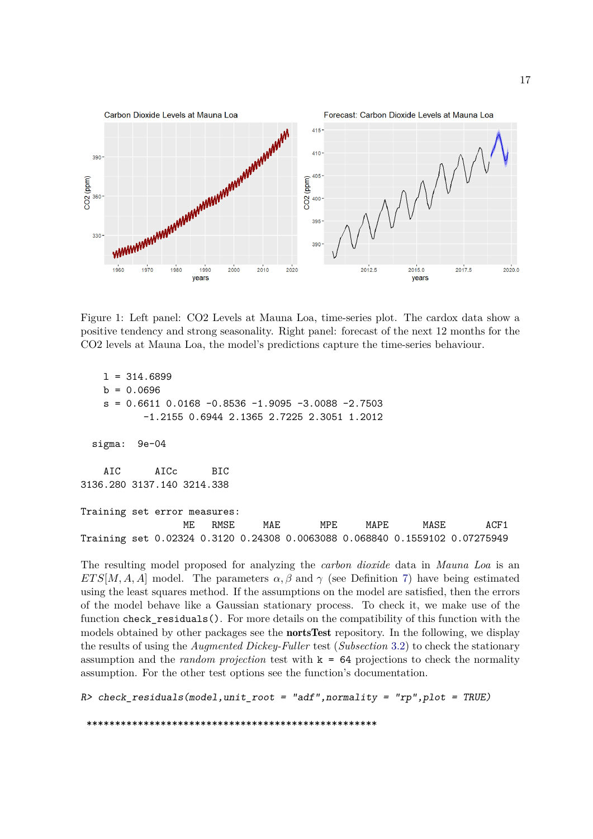

<span id="page-16-0"></span>Figure 1: Left panel: CO2 Levels at Mauna Loa, time-series plot. The cardox data show a positive tendency and strong seasonality. Right panel: forecast of the next 12 months for the CO2 levels at Mauna Loa, the model's predictions capture the time-series behaviour.

 $1 = 314.6899$  $b = 0.0696$  $s = 0.6611 0.0168 -0.8536 -1.9095 -3.0088 -2.7503$ -1.2155 0.6944 2.1365 2.7225 2.3051 1.2012 sigma: 9e-04 AIC AICc BIC 3136.280 3137.140 3214.338 Training set error measures: ME RMSE MAE MPE MAPE MASE ACF1 Training set 0.02324 0.3120 0.24308 0.0063088 0.068840 0.1559102 0.07275949

The resulting model proposed for analyzing the *carbon dioxide* data in *Mauna Loa* is an *ETS*[*M, A, A*] model. The parameters  $\alpha$ ,  $\beta$  and  $\gamma$  (see Definition [7\)](#page-3-0) have being estimated using the least squares method. If the assumptions on the model are satisfied, then the errors of the model behave like a Gaussian stationary process. To check it, we make use of the function check\_residuals(). For more details on the compatibility of this function with the models obtained by other packages see the **nortsTest** repository. In the following, we display the results of using the *Augmented Dickey-Fuller* test (*Subsection* [3.2\)](#page-5-0) to check the stationary assumption and the *random projection* test with k = 64 projections to check the normality assumption. For the other test options see the function's documentation.

```
R> check_residuals(model,unit_root = "adf",normality = "rp",plot = TRUE)
```
\*\*\*\*\*\*\*\*\*\*\*\*\*\*\*\*\*\*\*\*\*\*\*\*\*\*\*\*\*\*\*\*\*\*\*\*\*\*\*\*\*\*\*\*\*\*\*\*\*\*\*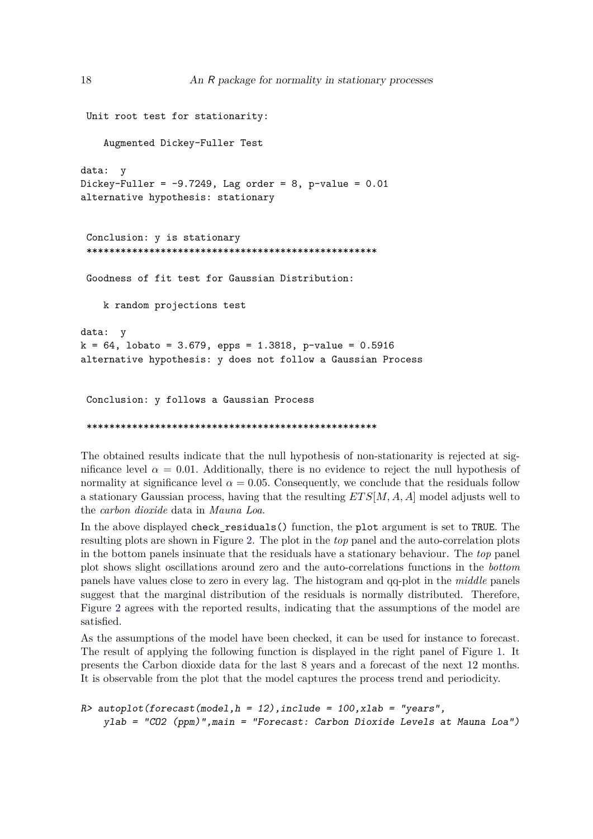```
Unit root test for stationarity:
    Augmented Dickey-Fuller Test
data: y
Dickey-Fuller = -9.7249, Lag order = 8, p-value = 0.01alternative hypothesis: stationary
 Conclusion: y is stationary
 ***************************************************
 Goodness of fit test for Gaussian Distribution:
    k random projections test
data: y
k = 64, lobato = 3.679, epps = 1.3818, p-value = 0.5916
alternative hypothesis: y does not follow a Gaussian Process
 Conclusion: y follows a Gaussian Process
```

```
***************************************************
```
The obtained results indicate that the null hypothesis of non-stationarity is rejected at significance level  $\alpha = 0.01$ . Additionally, there is no evidence to reject the null hypothesis of normality at significance level  $\alpha = 0.05$ . Consequently, we conclude that the residuals follow a stationary Gaussian process, having that the resulting *ET S*[*M, A, A*] model adjusts well to the *carbon dioxide* data in *Mauna Loa*.

In the above displayed check residuals() function, the plot argument is set to TRUE. The resulting plots are shown in Figure [2.](#page-18-1) The plot in the *top* panel and the auto-correlation plots in the bottom panels insinuate that the residuals have a stationary behaviour. The *top* panel plot shows slight oscillations around zero and the auto-correlations functions in the *bottom* panels have values close to zero in every lag. The histogram and qq-plot in the *middle* panels suggest that the marginal distribution of the residuals is normally distributed. Therefore, Figure [2](#page-18-1) agrees with the reported results, indicating that the assumptions of the model are satisfied.

As the assumptions of the model have been checked, it can be used for instance to forecast. The result of applying the following function is displayed in the right panel of Figure [1.](#page-16-0) It presents the Carbon dioxide data for the last 8 years and a forecast of the next 12 months. It is observable from the plot that the model captures the process trend and periodicity.

```
R autoplot(forecast(model, h = 12), include = 100, xlab = "years",
   ylab = "CO2 (ppm)",main = "Forecast: Carbon Dioxide Levels at Mauna Loa")
```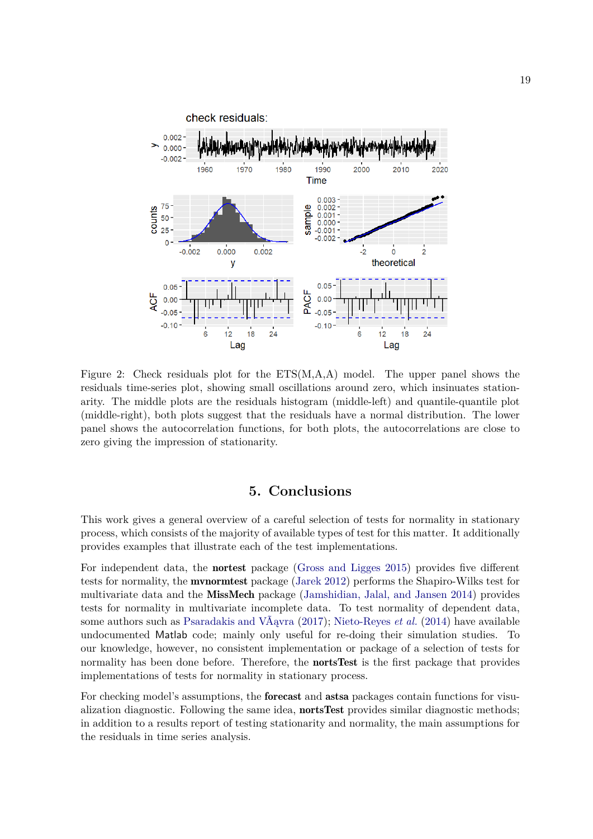

Figure 2: Check residuals plot for the ETS(M,A,A) model. The upper panel shows the residuals time-series plot, showing small oscillations around zero, which insinuates stationarity. The middle plots are the residuals histogram (middle-left) and quantile-quantile plot (middle-right), both plots suggest that the residuals have a normal distribution. The lower panel shows the autocorrelation functions, for both plots, the autocorrelations are close to zero giving the impression of stationarity.

## <span id="page-18-1"></span>**5. Conclusions**

<span id="page-18-0"></span>This work gives a general overview of a careful selection of tests for normality in stationary process, which consists of the majority of available types of test for this matter. It additionally provides examples that illustrate each of the test implementations.

For independent data, the nortest package [\(Gross and Ligges](#page-20-9) [2015\)](#page-20-9) provides five different tests for normality, the mvnormtest package [\(Jarek](#page-21-12) [2012\)](#page-21-12) performs the Shapiro-Wilks test for multivariate data and the MissMech package [\(Jamshidian, Jalal, and Jansen](#page-21-13) [2014\)](#page-21-13) provides tests for normality in multivariate incomplete data. To test normality of dependent data, some authors such as [Psaradakis and VÃąvra](#page-22-0) [\(2017\)](#page-22-0); [Nieto-Reyes](#page-21-1) *et al.* [\(2014\)](#page-21-1) have available undocumented Matlab code; mainly only useful for re-doing their simulation studies. To our knowledge, however, no consistent implementation or package of a selection of tests for normality has been done before. Therefore, the **nortsTest** is the first package that provides implementations of tests for normality in stationary process.

For checking model's assumptions, the **forecast** and **astsa** packages contain functions for visualization diagnostic. Following the same idea, nortsTest provides similar diagnostic methods; in addition to a results report of testing stationarity and normality, the main assumptions for the residuals in time series analysis.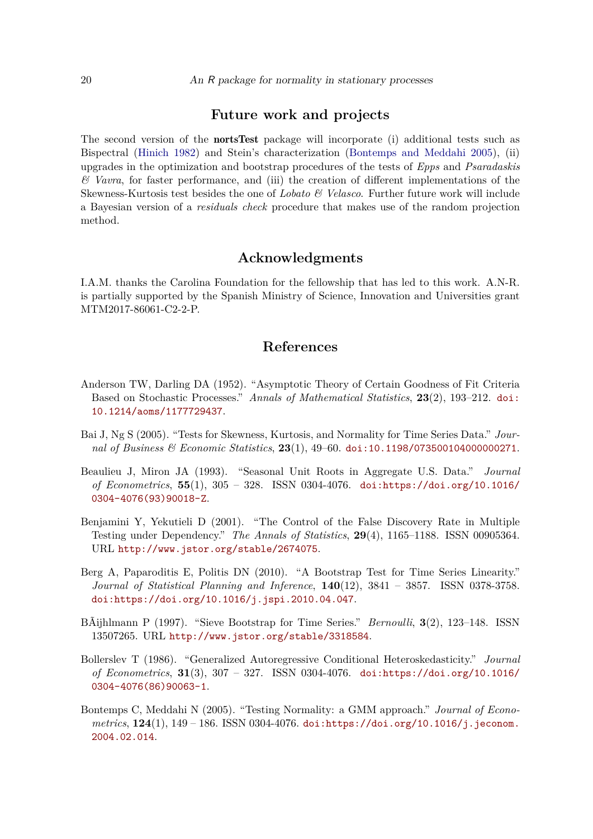## **Future work and projects**

The second version of the nortsTest package will incorporate (i) additional tests such as Bispectral [\(Hinich](#page-20-7) [1982\)](#page-20-7) and Stein's characterization [\(Bontemps and Meddahi](#page-19-4) [2005\)](#page-19-4), (ii) upgrades in the optimization and bootstrap procedures of the tests of *Epps* and *Psaradaskis & Vavra*, for faster performance, and (iii) the creation of different implementations of the Skewness-Kurtosis test besides the one of *Lobato & Velasco*. Further future work will include a Bayesian version of a *residuals check* procedure that makes use of the random projection method.

## **Acknowledgments**

I.A.M. thanks the Carolina Foundation for the fellowship that has led to this work. A.N-R. is partially supported by the Spanish Ministry of Science, Innovation and Universities grant MTM2017-86061-C2-2-P.

## **References**

- <span id="page-19-0"></span>Anderson TW, Darling DA (1952). "Asymptotic Theory of Certain Goodness of Fit Criteria Based on Stochastic Processes." *Annals of Mathematical Statistics*, **23**(2), 193–212. [doi:](http://dx.doi.org/10.1214/aoms/1177729437) [10.1214/aoms/1177729437](http://dx.doi.org/10.1214/aoms/1177729437).
- <span id="page-19-3"></span>Bai J, Ng S (2005). "Tests for Skewness, Kurtosis, and Normality for Time Series Data." *Journal of Business & Economic Statistics*, **23**(1), 49–60. [doi:10.1198/073500104000000271](http://dx.doi.org/10.1198/073500104000000271).
- <span id="page-19-5"></span>Beaulieu J, Miron JA (1993). "Seasonal Unit Roots in Aggregate U.S. Data." *Journal of Econometrics*, **55**(1), 305 – 328. ISSN 0304-4076. [doi:https://doi.org/10.1016/](http://dx.doi.org/https://doi.org/10.1016/0304-4076(93)90018-Z) [0304-4076\(93\)90018-Z](http://dx.doi.org/https://doi.org/10.1016/0304-4076(93)90018-Z).
- <span id="page-19-6"></span>Benjamini Y, Yekutieli D (2001). "The Control of the False Discovery Rate in Multiple Testing under Dependency." *The Annals of Statistics*, **29**(4), 1165–1188. ISSN 00905364. URL <http://www.jstor.org/stable/2674075>.
- <span id="page-19-2"></span>Berg A, Paparoditis E, Politis DN (2010). "A Bootstrap Test for Time Series Linearity." *Journal of Statistical Planning and Inference*, **140**(12), 3841 – 3857. ISSN 0378-3758. [doi:https://doi.org/10.1016/j.jspi.2010.04.047](http://dx.doi.org/https://doi.org/10.1016/j.jspi.2010.04.047).
- <span id="page-19-7"></span>BÃijhlmann P (1997). "Sieve Bootstrap for Time Series." *Bernoulli*, **3**(2), 123–148. ISSN 13507265. URL <http://www.jstor.org/stable/3318584>.
- <span id="page-19-1"></span>Bollerslev T (1986). "Generalized Autoregressive Conditional Heteroskedasticity." *Journal of Econometrics*, **31**(3), 307 – 327. ISSN 0304-4076. [doi:https://doi.org/10.1016/](http://dx.doi.org/https://doi.org/10.1016/0304-4076(86)90063-1) [0304-4076\(86\)90063-1](http://dx.doi.org/https://doi.org/10.1016/0304-4076(86)90063-1).
- <span id="page-19-4"></span>Bontemps C, Meddahi N (2005). "Testing Normality: a GMM approach." *Journal of Econometrics*, **124**(1), 149 – 186. ISSN 0304-4076. [doi:https://doi.org/10.1016/j.jeconom.](http://dx.doi.org/https://doi.org/10.1016/j.jeconom.2004.02.014) [2004.02.014](http://dx.doi.org/https://doi.org/10.1016/j.jeconom.2004.02.014).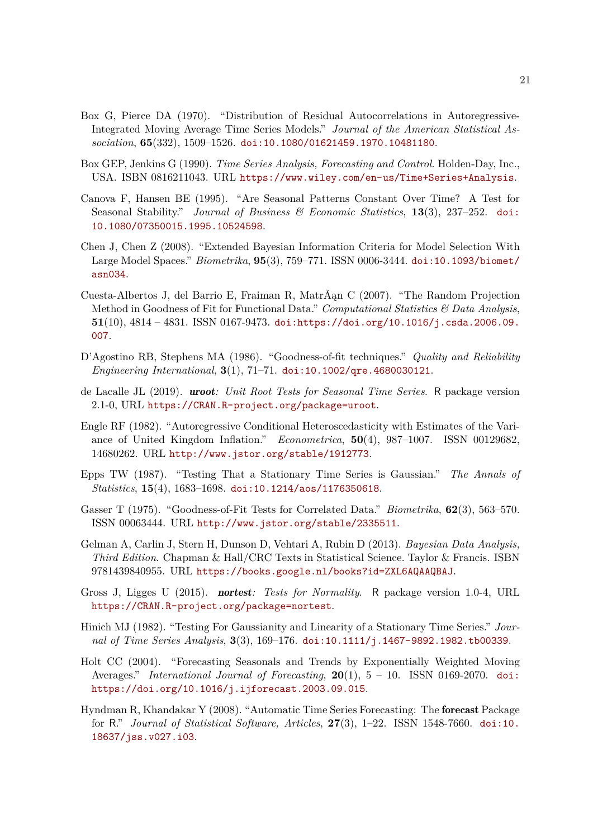- <span id="page-20-10"></span>Box G, Pierce DA (1970). "Distribution of Residual Autocorrelations in Autoregressive-Integrated Moving Average Time Series Models." *Journal of the American Statistical Association*, **65**(332), 1509–1526. [doi:10.1080/01621459.1970.10481180](http://dx.doi.org/10.1080/01621459.1970.10481180).
- <span id="page-20-4"></span>Box GEP, Jenkins G (1990). *Time Series Analysis, Forecasting and Control*. Holden-Day, Inc., USA. ISBN 0816211043. URL <https://www.wiley.com/en-us/Time+Series+Analysis>.
- <span id="page-20-11"></span>Canova F, Hansen BE (1995). "Are Seasonal Patterns Constant Over Time? A Test for Seasonal Stability." *Journal of Business & Economic Statistics*, **13**(3), 237–252. [doi:](http://dx.doi.org/10.1080/07350015.1995.10524598) [10.1080/07350015.1995.10524598](http://dx.doi.org/10.1080/07350015.1995.10524598).
- <span id="page-20-14"></span>Chen J, Chen Z (2008). "Extended Bayesian Information Criteria for Model Selection With Large Model Spaces." *Biometrika*, **95**(3), 759–771. ISSN 0006-3444. [doi:10.1093/biomet/](http://dx.doi.org/10.1093/biomet/asn034) [asn034](http://dx.doi.org/10.1093/biomet/asn034).
- <span id="page-20-8"></span>Cuesta-Albertos J, del Barrio E, Fraiman R, MatrÃąn C (2007). "The Random Projection Method in Goodness of Fit for Functional Data." *Computational Statistics & Data Analysis*, **51**(10), 4814 – 4831. ISSN 0167-9473. [doi:https://doi.org/10.1016/j.csda.2006.09.](http://dx.doi.org/https://doi.org/10.1016/j.csda.2006.09.007) [007](http://dx.doi.org/https://doi.org/10.1016/j.csda.2006.09.007).
- <span id="page-20-0"></span>D'Agostino RB, Stephens MA (1986). "Goodness-of-fit techniques." *Quality and Reliability Engineering International*, **3**(1), 71–71. [doi:10.1002/qre.4680030121](http://dx.doi.org/10.1002/qre.4680030121).
- <span id="page-20-12"></span>de Lacalle JL (2019). uroot*: Unit Root Tests for Seasonal Time Series*. R package version 2.1-0, URL <https://CRAN.R-project.org/package=uroot>.
- <span id="page-20-5"></span>Engle RF (1982). "Autoregressive Conditional Heteroscedasticity with Estimates of the Variance of United Kingdom Inflation." *Econometrica*, **50**(4), 987–1007. ISSN 00129682, 14680262. URL <http://www.jstor.org/stable/1912773>.
- <span id="page-20-1"></span>Epps TW (1987). "Testing That a Stationary Time Series is Gaussian." *The Annals of Statistics*, **15**(4), 1683–1698. [doi:10.1214/aos/1176350618](http://dx.doi.org/10.1214/aos/1176350618).
- <span id="page-20-6"></span>Gasser T (1975). "Goodness-of-Fit Tests for Correlated Data." *Biometrika*, **62**(3), 563–570. ISSN 00063444. URL <http://www.jstor.org/stable/2335511>.
- <span id="page-20-13"></span>Gelman A, Carlin J, Stern H, Dunson D, Vehtari A, Rubin D (2013). *Bayesian Data Analysis, Third Edition*. Chapman & Hall/CRC Texts in Statistical Science. Taylor & Francis. ISBN 9781439840955. URL <https://books.google.nl/books?id=ZXL6AQAAQBAJ>.
- <span id="page-20-9"></span>Gross J, Ligges U (2015). nortest*: Tests for Normality*. R package version 1.0-4, URL <https://CRAN.R-project.org/package=nortest>.
- <span id="page-20-7"></span>Hinich MJ (1982). "Testing For Gaussianity and Linearity of a Stationary Time Series." *Journal of Time Series Analysis*, **3**(3), 169–176. [doi:10.1111/j.1467-9892.1982.tb00339](http://dx.doi.org/10.1111/j.1467-9892.1982.tb00339).
- <span id="page-20-3"></span>Holt CC (2004). "Forecasting Seasonals and Trends by Exponentially Weighted Moving Averages." *International Journal of Forecasting*, **20**(1), 5 – 10. ISSN 0169-2070. [doi:](http://dx.doi.org/https://doi.org/10.1016/j.ijforecast.2003.09.015) [https://doi.org/10.1016/j.ijforecast.2003.09.015](http://dx.doi.org/https://doi.org/10.1016/j.ijforecast.2003.09.015).
- <span id="page-20-2"></span>Hyndman R, Khandakar Y (2008). "Automatic Time Series Forecasting: The forecast Package for R." *Journal of Statistical Software, Articles*, **27**(3), 1–22. ISSN 1548-7660. [doi:10.](http://dx.doi.org/10.18637/jss.v027.i03) [18637/jss.v027.i03](http://dx.doi.org/10.18637/jss.v027.i03).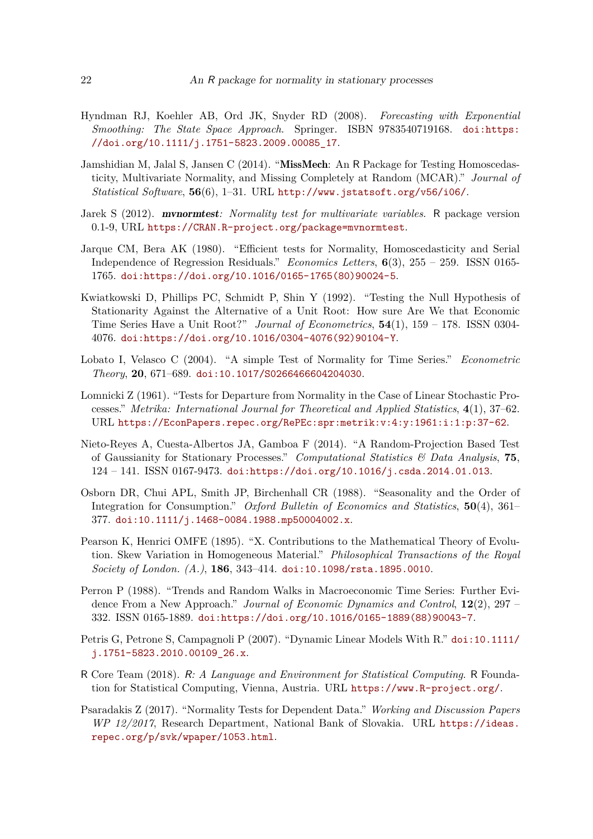- <span id="page-21-4"></span>Hyndman RJ, Koehler AB, Ord JK, Snyder RD (2008). *Forecasting with Exponential Smoothing: The State Space Approach*. Springer. ISBN 9783540719168. [doi:https:](http://dx.doi.org/https://doi.org/10.1111/j.1751-5823.2009.00085_17) [//doi.org/10.1111/j.1751-5823.2009.00085\\_17](http://dx.doi.org/https://doi.org/10.1111/j.1751-5823.2009.00085_17).
- <span id="page-21-13"></span>Jamshidian M, Jalal S, Jansen C (2014). "MissMech: An R Package for Testing Homoscedasticity, Multivariate Normality, and Missing Completely at Random (MCAR)." *Journal of Statistical Software*, **56**(6), 1–31. URL <http://www.jstatsoft.org/v56/i06/>.
- <span id="page-21-12"></span>Jarek S (2012). mvnormtest*: Normality test for multivariate variables*. R package version 0.1-9, URL <https://CRAN.R-project.org/package=mvnormtest>.
- <span id="page-21-6"></span>Jarque CM, Bera AK (1980). "Efficient tests for Normality, Homoscedasticity and Serial Independence of Regression Residuals." *Economics Letters*, **6**(3), 255 – 259. ISSN 0165- 1765. [doi:https://doi.org/10.1016/0165-1765\(80\)90024-5](http://dx.doi.org/https://doi.org/10.1016/0165-1765(80)90024-5).
- <span id="page-21-9"></span>Kwiatkowski D, Phillips PC, Schmidt P, Shin Y (1992). "Testing the Null Hypothesis of Stationarity Against the Alternative of a Unit Root: How sure Are We that Economic Time Series Have a Unit Root?" *Journal of Econometrics*, **54**(1), 159 – 178. ISSN 0304- 4076. [doi:https://doi.org/10.1016/0304-4076\(92\)90104-Y](http://dx.doi.org/https://doi.org/10.1016/0304-4076(92)90104-Y).
- <span id="page-21-0"></span>Lobato I, Velasco C (2004). "A simple Test of Normality for Time Series." *Econometric Theory*, **20**, 671–689. [doi:10.1017/S0266466604204030](http://dx.doi.org/10.1017/S0266466604204030).
- <span id="page-21-11"></span>Lomnicki Z (1961). "Tests for Departure from Normality in the Case of Linear Stochastic Processes." *Metrika: International Journal for Theoretical and Applied Statistics*, **4**(1), 37–62. URL <https://EconPapers.repec.org/RePEc:spr:metrik:v:4:y:1961:i:1:p:37-62>.
- <span id="page-21-1"></span>Nieto-Reyes A, Cuesta-Albertos JA, Gamboa F (2014). "A Random-Projection Based Test of Gaussianity for Stationary Processes." *Computational Statistics & Data Analysis*, **75**, 124 – 141. ISSN 0167-9473. [doi:https://doi.org/10.1016/j.csda.2014.01.013](http://dx.doi.org/https://doi.org/10.1016/j.csda.2014.01.013).
- <span id="page-21-10"></span>Osborn DR, Chui APL, Smith JP, Birchenhall CR (1988). "Seasonality and the Order of Integration for Consumption." *Oxford Bulletin of Economics and Statistics*, **50**(4), 361– 377. [doi:10.1111/j.1468-0084.1988.mp50004002.x](http://dx.doi.org/10.1111/j.1468-0084.1988.mp50004002.x).
- <span id="page-21-5"></span>Pearson K, Henrici OMFE (1895). "X. Contributions to the Mathematical Theory of Evolution. Skew Variation in Homogeneous Material." *Philosophical Transactions of the Royal Society of London. (A.)*, **186**, 343–414. [doi:10.1098/rsta.1895.0010](http://dx.doi.org/10.1098/rsta.1895.0010).
- <span id="page-21-8"></span>Perron P (1988). "Trends and Random Walks in Macroeconomic Time Series: Further Evidence From a New Approach." *Journal of Economic Dynamics and Control*, **12**(2), 297 – 332. ISSN 0165-1889. [doi:https://doi.org/10.1016/0165-1889\(88\)90043-7](http://dx.doi.org/https://doi.org/10.1016/0165-1889(88)90043-7).
- <span id="page-21-3"></span>Petris G, Petrone S, Campagnoli P (2007). "Dynamic Linear Models With R." [doi:10.1111/](http://dx.doi.org/10.1111/j.1751-5823.2010.00109_26.x) [j.1751-5823.2010.00109\\_26.x](http://dx.doi.org/10.1111/j.1751-5823.2010.00109_26.x).
- <span id="page-21-2"></span>R Core Team (2018). R*: A Language and Environment for Statistical Computing*. R Foundation for Statistical Computing, Vienna, Austria. URL <https://www.R-project.org/>.
- <span id="page-21-7"></span>Psaradakis Z (2017). "Normality Tests for Dependent Data." *Working and Discussion Papers WP 12/2017*, Research Department, National Bank of Slovakia. URL [https://ideas.](https://ideas.repec.org/p/svk/wpaper/1053.html) [repec.org/p/svk/wpaper/1053.html](https://ideas.repec.org/p/svk/wpaper/1053.html).